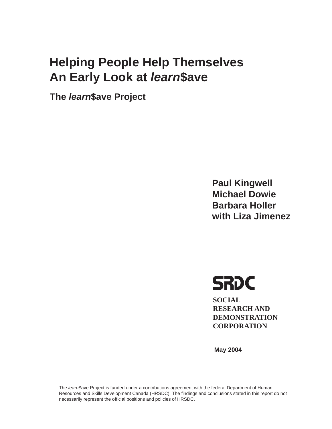# **An Farly Look at** *learn***\$ave An Early Look at** *learn***\$ave**

**The** *learn***\$ave Project**

**Paul Kingwell Barbara Holler with Liza Jimenez with Liza Jimenez**



**SOCIAL RESEARCH AND DEMONSTRATION CORPORATION**

**May 2004**

The *learn*\$ave Project is funded under a contributions agreement with the federal Department of Human Resources and Skills Development Canada (HRSDC). The findings and conclusions stated in this report do not necessarily represent the official positions and policies of HRSDC.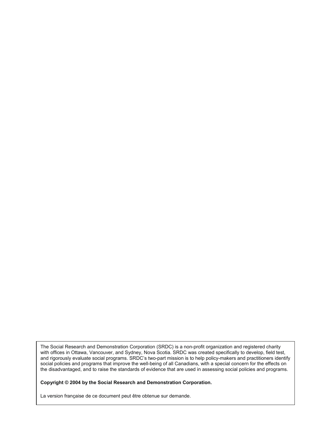The Social Research and Demonstration Corporation (SRDC) is a non-profit organization and registered charity with offices in Ottawa, Vancouver, and Sydney, Nova Scotia. SRDC was created specifically to develop, field test, and rigorously evaluate social programs. SRDC's two-part mission is to help policy-makers and practitioners identify social policies and programs that improve the well-being of all Canadians, with a special concern for the effects on the disadvantaged, and to raise the standards of evidence that are used in assessing social policies and programs.

**Copyright © 2004 by the Social Research and Demonstration Corporation.** 

La version française de ce document peut être obtenue sur demande.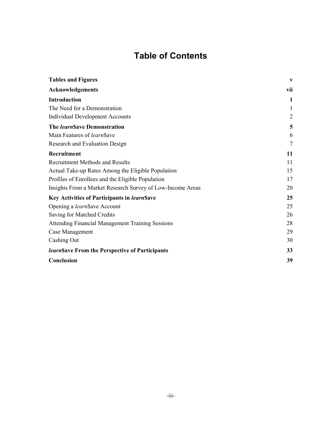# **Table of Contents**

| <b>Tables and Figures</b>                                  | $\mathbf{V}$   |
|------------------------------------------------------------|----------------|
| <b>Acknowledgements</b>                                    | vii            |
| <b>Introduction</b>                                        | 1              |
| The Need for a Demonstration                               | 1              |
| <b>Individual Development Accounts</b>                     | $\overline{2}$ |
| The learn\$ave Demonstration                               | 5              |
| Main Features of learn\$ave                                | 6              |
| <b>Research and Evaluation Design</b>                      | $\overline{7}$ |
| Recruitment                                                | 11             |
| <b>Recruitment Methods and Results</b>                     | 11             |
| Actual Take-up Rates Among the Eligible Population         | 15             |
| Profiles of Enrollees and the Eligible Population          | 17             |
| Insights From a Market Research Survey of Low-Income Areas | 20             |
| Key Activities of Participants in learn\$ave               | 25             |
| Opening a learn\$ave Account                               | 25             |
| Saving for Matched Credits                                 | 26             |
| <b>Attending Financial Management Training Sessions</b>    | 28             |
| Case Management                                            | 29             |
| Cashing Out                                                | 30             |
| learn Save From the Perspective of Participants            | 33             |
| Conclusion                                                 | 39             |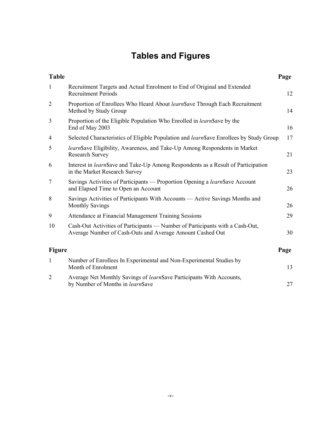# **Tables and Figures**

| <b>Table</b>   |                                                                                                                                            | Page |
|----------------|--------------------------------------------------------------------------------------------------------------------------------------------|------|
| $\mathbf{1}$   | Recruitment Targets and Actual Enrolment to End of Original and Extended<br><b>Recruitment Periods</b>                                     | 12   |
| $\overline{2}$ | Proportion of Enrollees Who Heard About learn\$ave Through Each Recruitment<br>Method by Study Group                                       | 14   |
| 3              | Proportion of the Eligible Population Who Enrolled in <i>learn</i> \$ ave by the<br>End of May 2003                                        | 16   |
| 4              | Selected Characteristics of Eligible Population and <i>learn</i> \$ ave Enrollees by Study Group                                           | 17   |
| 5              | <i>learn</i> Save Eligibility, Awareness, and Take-Up Among Respondents in Market<br><b>Research Survey</b>                                | 21   |
| 6              | Interest in <i>learn</i> Save and Take-Up Among Respondents as a Result of Participation<br>in the Market Research Survey                  | 23   |
| $\overline{7}$ | Savings Activities of Participants — Proportion Opening a learn Save Account<br>and Elapsed Time to Open an Account                        | 26   |
| 8              | Savings Activities of Participants With Accounts — Active Savings Months and<br><b>Monthly Savings</b>                                     | 26   |
| 9              | Attendance at Financial Management Training Sessions                                                                                       | 29   |
| 10             | Cash-Out Activities of Participants — Number of Participants with a Cash-Out,<br>Average Number of Cash-Outs and Average Amount Cashed Out | 30   |
| <b>Figure</b>  |                                                                                                                                            | Page |
| $\mathbf{1}$   | Number of Enrollees In Experimental and Non-Experimental Studies by<br>Month of Enrolment                                                  | 13   |
| $\overline{2}$ | Average Net Monthly Savings of learn Save Participants With Accounts,<br>by Number of Months in learn\$ave                                 | 27   |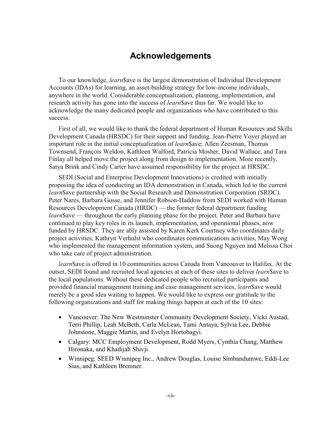# **Acknowledgements**

To our knowledge, *learn*\$ave is the largest demonstration of Individual Development Accounts (IDAs) for learning, an asset-building strategy for low-income individuals, anywhere in the world. Considerable conceptualization, planning, implementation, and research activity has gone into the success of *learn*\$ave thus far. We would like to acknowledge the many dedicated people and organizations who have contributed to this success.

First of all, we would like to thank the federal department of Human Resources and Skills Development Canada (HRSDC) for their support and funding. Jean-Pierre Voyer played an important role in the initial conceptualization of *learn*\$ave; Allen Zeesman, Thomas Townsend, François Weldon, Kathleen Walford, Patricia Mosher, David Wallace, and Tara Finlay all helped move the project along from design to implementation. More recently, Satya Brink and Cindy Carter have assumed responsibility for the project at HRSDC.

SEDI (Social and Enterprise Development Innovations) is credited with initially proposing the idea of conducting an IDA demonstration in Canada, which led to the current *learn*\$ave partnership with the Social Research and Demonstration Corporation (SRDC). Peter Nares, Barbara Gosse, and Jennifer Robson-Haddow from SEDI worked with Human Resources Development Canada (HRDC) — the former federal department funding *learn*\$ave — throughout the early planning phase for the project. Peter and Barbara have continued to play key roles in its launch, implementation, and operational phases, now funded by HRSDC. They are ably assisted by Karen Kerk Courtney who coordinates daily project activities, Kathryn Verhulst who coordinates communications activities, May Wong who implemented the management information system, and Suong Nguyen and Melissa Choi who take care of project administration.

*learn*\$ave is offered in 10 communities across Canada from Vancouver to Halifax. At the outset, SEDI found and recruited local agencies at each of these sites to deliver *learn*\$ave to the local populations. Without these dedicated people who recruited participants and provided financial management training and case management services, *learn*\$ave would merely be a good idea waiting to happen. We would like to express our gratitude to the following organizations and staff for making things happen at each of the 10 sites:

- Vancouver: The New Westminster Community Development Society, Vicki Austad, Terri Phillip, Leah McBeth, Carla McLean, Tami Antaya, Sylvia Lee, Debbie Johnstone, Maggie Martin, and Evelyn Hortobagyi.
- Calgary: MCC Employment Development, Rodd Myers, Cynthia Chang, Matthew Hironaka, and Khadijah Shivji.
- Winnipeg: SEED Winnipeg Inc., Andrew Douglas, Louise Simbandumwe, Eddi-Lee Sias, and Kathleen Bremner.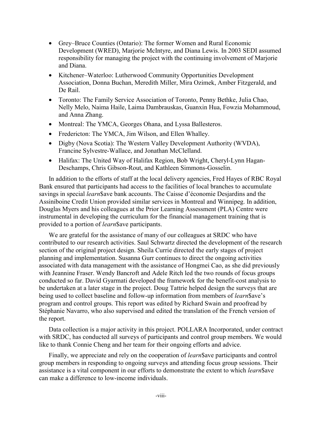- Grey–Bruce Counties (Ontario): The former Women and Rural Economic Development (WRED), Marjorie McIntyre, and Diana Lewis. In 2003 SEDI assumed responsibility for managing the project with the continuing involvement of Marjorie and Diana.
- Kitchener–Waterloo: Lutherwood Community Opportunities Development Association, Donna Buchan, Meredith Miller, Mira Ozimek, Amber Fitzgerald, and De Rail.
- Toronto: The Family Service Association of Toronto, Penny Bethke, Julia Chao, Nelly Melo, Naima Haile, Laima Dambrauskas, Guanxin Hua, Fowzia Mohammoud, and Anna Zhang.
- Montreal: The YMCA, Georges Ohana, and Lyssa Ballesteros.
- Fredericton: The YMCA, Jim Wilson, and Ellen Whalley.
- Digby (Nova Scotia): The Western Valley Development Authority (WVDA), Francine Sylvestre-Wallace, and Jonathan McClelland.
- Halifax: The United Way of Halifax Region, Bob Wright, Cheryl-Lynn Hagan-Deschamps, Chris Gibson-Rout, and Kathleen Simmons-Gosselin.

In addition to the efforts of staff at the local delivery agencies, Fred Hayes of RBC Royal Bank ensured that participants had access to the facilities of local branches to accumulate savings in special *learn*\$ave bank accounts. The Caisse d'économie Desjardins and the Assiniboine Credit Union provided similar services in Montreal and Winnipeg. In addition, Douglas Myers and his colleagues at the Prior Learning Assessment (PLA) Centre were instrumental in developing the curriculum for the financial management training that is provided to a portion of *learn*\$ave participants.

We are grateful for the assistance of many of our colleagues at SRDC who have contributed to our research activities. Saul Schwartz directed the development of the research section of the original project design. Sheila Currie directed the early stages of project planning and implementation. Susanna Gurr continues to direct the ongoing activities associated with data management with the assistance of Hongmei Cao, as she did previously with Jeannine Fraser. Wendy Bancroft and Adele Ritch led the two rounds of focus groups conducted so far. David Gyarmati developed the framework for the benefit-cost analysis to be undertaken at a later stage in the project. Doug Tattrie helped design the surveys that are being used to collect baseline and follow-up information from members of *learn*\$ave's program and control groups. This report was edited by Richard Swain and proofread by Stéphanie Navarro, who also supervised and edited the translation of the French version of the report.

Data collection is a major activity in this project. POLLARA Incorporated, under contract with SRDC, has conducted all surveys of participants and control group members. We would like to thank Connie Cheng and her team for their ongoing efforts and advice.

Finally, we appreciate and rely on the cooperation of *learn*\$ave participants and control group members in responding to ongoing surveys and attending focus group sessions. Their assistance is a vital component in our efforts to demonstrate the extent to which *learn*\$ave can make a difference to low-income individuals.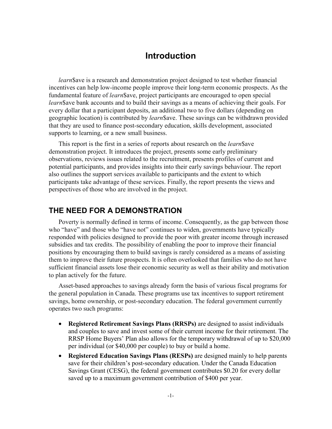# **Introduction**

*learn*\$ave is a research and demonstration project designed to test whether financial incentives can help low-income people improve their long-term economic prospects. As the fundamental feature of *learn*\$ave, project participants are encouraged to open special *learn*\$ave bank accounts and to build their savings as a means of achieving their goals. For every dollar that a participant deposits, an additional two to five dollars (depending on geographic location) is contributed by *learn*\$ave. These savings can be withdrawn provided that they are used to finance post-secondary education, skills development, associated supports to learning, or a new small business.

This report is the first in a series of reports about research on the *learn*\$ave demonstration project. It introduces the project, presents some early preliminary observations, reviews issues related to the recruitment, presents profiles of current and potential participants, and provides insights into their early savings behaviour. The report also outlines the support services available to participants and the extent to which participants take advantage of these services. Finally, the report presents the views and perspectives of those who are involved in the project.

### **THE NEED FOR A DEMONSTRATION**

Poverty is normally defined in terms of income. Consequently, as the gap between those who "have" and those who "have not" continues to widen, governments have typically responded with policies designed to provide the poor with greater income through increased subsidies and tax credits. The possibility of enabling the poor to improve their financial positions by encouraging them to build savings is rarely considered as a means of assisting them to improve their future prospects. It is often overlooked that families who do not have sufficient financial assets lose their economic security as well as their ability and motivation to plan actively for the future.

Asset-based approaches to savings already form the basis of various fiscal programs for the general population in Canada. These programs use tax incentives to support retirement savings, home ownership, or post-secondary education. The federal government currently operates two such programs:

- **Registered Retirement Savings Plans (RRSPs)** are designed to assist individuals and couples to save and invest some of their current income for their retirement. The RRSP Home Buyers' Plan also allows for the temporary withdrawal of up to \$20,000 per individual (or \$40,000 per couple) to buy or build a home.
- **Registered Education Savings Plans (RESPs)** are designed mainly to help parents save for their children's post-secondary education. Under the Canada Education Savings Grant (CESG), the federal government contributes \$0.20 for every dollar saved up to a maximum government contribution of \$400 per year.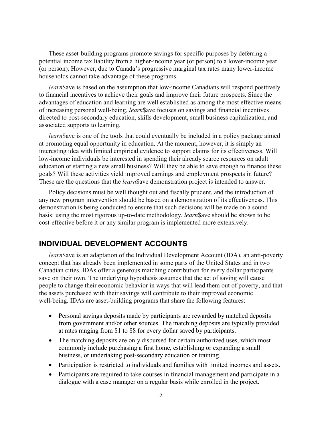These asset-building programs promote savings for specific purposes by deferring a potential income tax liability from a higher-income year (or person) to a lower-income year (or person). However, due to Canada's progressive marginal tax rates many lower-income households cannot take advantage of these programs.

*learn*\$ave is based on the assumption that low-income Canadians will respond positively to financial incentives to achieve their goals and improve their future prospects. Since the advantages of education and learning are well established as among the most effective means of increasing personal well-being, *learn*\$ave focuses on savings and financial incentives directed to post-secondary education, skills development, small business capitalization, and associated supports to learning.

*learn*\$ave is one of the tools that could eventually be included in a policy package aimed at promoting equal opportunity in education. At the moment, however, it is simply an interesting idea with limited empirical evidence to support claims for its effectiveness. Will low-income individuals be interested in spending their already scarce resources on adult education or starting a new small business? Will they be able to save enough to finance these goals? Will these activities yield improved earnings and employment prospects in future? These are the questions that the *learn*\$ave demonstration project is intended to answer.

Policy decisions must be well thought out and fiscally prudent, and the introduction of any new program intervention should be based on a demonstration of its effectiveness. This demonstration is being conducted to ensure that such decisions will be made on a sound basis: using the most rigorous up-to-date methodology, *learn*\$ave should be shown to be cost-effective before it or any similar program is implemented more extensively.

# **INDIVIDUAL DEVELOPMENT ACCOUNTS**

*learn*\$ave is an adaptation of the Individual Development Account (IDA), an anti-poverty concept that has already been implemented in some parts of the United States and in two Canadian cities. IDAs offer a generous matching contribution for every dollar participants save on their own. The underlying hypothesis assumes that the act of saving will cause people to change their economic behavior in ways that will lead them out of poverty, and that the assets purchased with their savings will contribute to their improved economic well-being. IDAs are asset-building programs that share the following features:

- Personal savings deposits made by participants are rewarded by matched deposits from government and/or other sources. The matching deposits are typically provided at rates ranging from \$1 to \$8 for every dollar saved by participants.
- The matching deposits are only disbursed for certain authorized uses, which most commonly include purchasing a first home, establishing or expanding a small business, or undertaking post-secondary education or training.
- Participation is restricted to individuals and families with limited incomes and assets.
- Participants are required to take courses in financial management and participate in a dialogue with a case manager on a regular basis while enrolled in the project.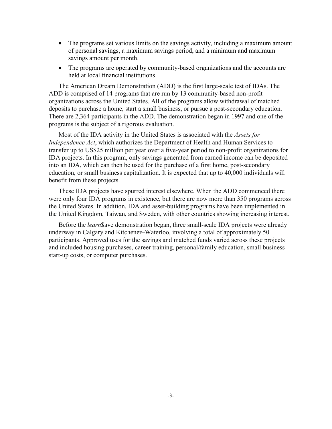- The programs set various limits on the savings activity, including a maximum amount of personal savings, a maximum savings period, and a minimum and maximum savings amount per month.
- The programs are operated by community-based organizations and the accounts are held at local financial institutions.

The American Dream Demonstration (ADD) is the first large-scale test of IDAs. The ADD is comprised of 14 programs that are run by 13 community-based non-profit organizations across the United States. All of the programs allow withdrawal of matched deposits to purchase a home, start a small business, or pursue a post-secondary education. There are 2,364 participants in the ADD. The demonstration began in 1997 and one of the programs is the subject of a rigorous evaluation.

Most of the IDA activity in the United States is associated with the *Assets for Independence Act*, which authorizes the Department of Health and Human Services to transfer up to US\$25 million per year over a five-year period to non-profit organizations for IDA projects. In this program, only savings generated from earned income can be deposited into an IDA, which can then be used for the purchase of a first home, post-secondary education, or small business capitalization. It is expected that up to 40,000 individuals will benefit from these projects.

These IDA projects have spurred interest elsewhere. When the ADD commenced there were only four IDA programs in existence, but there are now more than 350 programs across the United States. In addition, IDA and asset-building programs have been implemented in the United Kingdom, Taiwan, and Sweden, with other countries showing increasing interest.

Before the *learn*\$ave demonstration began, three small-scale IDA projects were already underway in Calgary and Kitchener–Waterloo, involving a total of approximately 50 participants. Approved uses for the savings and matched funds varied across these projects and included housing purchases, career training, personal/family education, small business start-up costs, or computer purchases.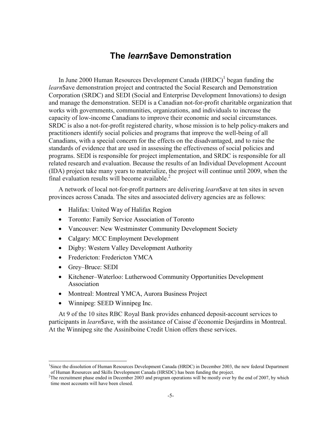# **The** *learn***\$ave Demonstration**

In June 2000 Human Resources Development Canada  $(HRDC)^1$  began funding the *learn*\$ave demonstration project and contracted the Social Research and Demonstration Corporation (SRDC) and SEDI (Social and Enterprise Development Innovations) to design and manage the demonstration. SEDI is a Canadian not-for-profit charitable organization that works with governments, communities, organizations, and individuals to increase the capacity of low-income Canadians to improve their economic and social circumstances. SRDC is also a not-for-profit registered charity, whose mission is to help policy-makers and practitioners identify social policies and programs that improve the well-being of all Canadians, with a special concern for the effects on the disadvantaged, and to raise the standards of evidence that are used in assessing the effectiveness of social policies and programs. SEDI is responsible for project implementation, and SRDC is responsible for all related research and evaluation. Because the results of an Individual Development Account (IDA) project take many years to materialize, the project will continue until 2009, when the final evaluation results will become available.<sup>2</sup>

A network of local not-for-profit partners are delivering *learn*\$ave at ten sites in seven provinces across Canada. The sites and associated delivery agencies are as follows:

- Halifax: United Way of Halifax Region
- Toronto: Family Service Association of Toronto
- Vancouver: New Westminster Community Development Society
- Calgary: MCC Employment Development
- Digby: Western Valley Development Authority
- Fredericton: Fredericton YMCA
- Grey–Bruce: SEDI

 $\overline{a}$ 

- Kitchener–Waterloo: Lutherwood Community Opportunities Development Association
- Montreal: Montreal YMCA, Aurora Business Project
- Winnipeg: SEED Winnipeg Inc.

At 9 of the 10 sites RBC Royal Bank provides enhanced deposit-account services to participants in *learn*\$ave, with the assistance of Caisse d'économie Desjardins in Montreal. At the Winnipeg site the Assiniboine Credit Union offers these services.

<sup>&</sup>lt;sup>1</sup>Since the dissolution of Human Resources Development Canada (HRDC) in December 2003, the new federal Department of Human Resources and Skills Development Canada (HRSDC) has been funding the project.

<sup>&</sup>lt;sup>2</sup>The recruitment phase ended in December 2003 and program operations will be mostly over by the end of 2007, by which time most accounts will have been closed.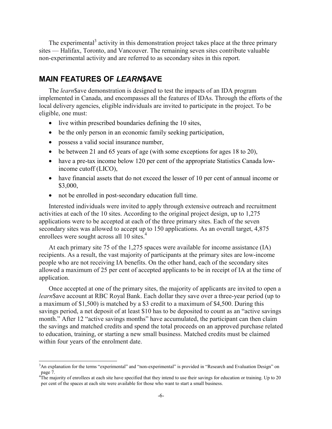The experimental<sup>3</sup> activity in this demonstration project takes place at the three primary sites — Halifax, Toronto, and Vancouver. The remaining seven sites contribute valuable non-experimental activity and are referred to as secondary sites in this report.

# **MAIN FEATURES OF** *LEARN***\$AVE**

The *learn*\$ave demonstration is designed to test the impacts of an IDA program implemented in Canada, and encompasses all the features of IDAs. Through the efforts of the local delivery agencies, eligible individuals are invited to participate in the project. To be eligible, one must:

- live within prescribed boundaries defining the 10 sites,
- be the only person in an economic family seeking participation,
- possess a valid social insurance number,

 $\overline{a}$ 

- be between 21 and 65 years of age (with some exceptions for ages 18 to 20),
- have a pre-tax income below 120 per cent of the appropriate Statistics Canada lowincome cutoff (LICO),
- have financial assets that do not exceed the lesser of 10 per cent of annual income or \$3,000,
- not be enrolled in post-secondary education full time.

Interested individuals were invited to apply through extensive outreach and recruitment activities at each of the 10 sites. According to the original project design, up to 1,275 applications were to be accepted at each of the three primary sites. Each of the seven secondary sites was allowed to accept up to 150 applications. As an overall target, 4,875 enrollees were sought across all 10 sites.<sup>4</sup>

At each primary site 75 of the 1,275 spaces were available for income assistance (IA) recipients. As a result, the vast majority of participants at the primary sites are low-income people who are not receiving IA benefits. On the other hand, each of the secondary sites allowed a maximum of 25 per cent of accepted applicants to be in receipt of IA at the time of application.

Once accepted at one of the primary sites, the majority of applicants are invited to open a *learn*\$ave account at RBC Royal Bank. Each dollar they save over a three-year period (up to a maximum of \$1,500) is matched by a \$3 credit to a maximum of \$4,500. During this savings period, a net deposit of at least \$10 has to be deposited to count as an "active savings month." After 12 "active savings months" have accumulated, the participant can then claim the savings and matched credits and spend the total proceeds on an approved purchase related to education, training, or starting a new small business. Matched credits must be claimed within four years of the enrolment date.

<sup>&</sup>lt;sup>3</sup>An explanation for the terms "experimental" and "non-experimental" is provided in "Research and Evaluation Design" on page 7.

 $4<sup>4</sup>$ The majority of enrollees at each site have specified that they intend to use their savings for education or training. Up to 20 per cent of the spaces at each site were available for those who want to start a small business.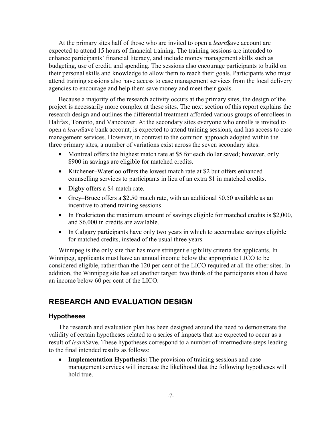At the primary sites half of those who are invited to open a *learn*\$ave account are expected to attend 15 hours of financial training. The training sessions are intended to enhance participants' financial literacy, and include money management skills such as budgeting, use of credit, and spending. The sessions also encourage participants to build on their personal skills and knowledge to allow them to reach their goals. Participants who must attend training sessions also have access to case management services from the local delivery agencies to encourage and help them save money and meet their goals.

Because a majority of the research activity occurs at the primary sites, the design of the project is necessarily more complex at these sites. The next section of this report explains the research design and outlines the differential treatment afforded various groups of enrollees in Halifax, Toronto, and Vancouver. At the secondary sites everyone who enrolls is invited to open a *learn*\$ave bank account, is expected to attend training sessions, and has access to case management services. However, in contrast to the common approach adopted within the three primary sites, a number of variations exist across the seven secondary sites:

- Montreal offers the highest match rate at \$5 for each dollar saved; however, only \$900 in savings are eligible for matched credits.
- Kitchener–Waterloo offers the lowest match rate at \$2 but offers enhanced counselling services to participants in lieu of an extra \$1 in matched credits.
- Digby offers a \$4 match rate.
- Grey–Bruce offers a \$2.50 match rate, with an additional \$0.50 available as an incentive to attend training sessions.
- In Fredericton the maximum amount of savings eligible for matched credits is \$2,000, and \$6,000 in credits are available.
- In Calgary participants have only two years in which to accumulate savings eligible for matched credits, instead of the usual three years.

Winnipeg is the only site that has more stringent eligibility criteria for applicants. In Winnipeg, applicants must have an annual income below the appropriate LICO to be considered eligible, rather than the 120 per cent of the LICO required at all the other sites. In addition, the Winnipeg site has set another target: two thirds of the participants should have an income below 60 per cent of the LICO.

# **RESEARCH AND EVALUATION DESIGN**

#### **Hypotheses**

The research and evaluation plan has been designed around the need to demonstrate the validity of certain hypotheses related to a series of impacts that are expected to occur as a result of *learn*\$ave. These hypotheses correspond to a number of intermediate steps leading to the final intended results as follows:

• **Implementation Hypothesis:** The provision of training sessions and case management services will increase the likelihood that the following hypotheses will hold true.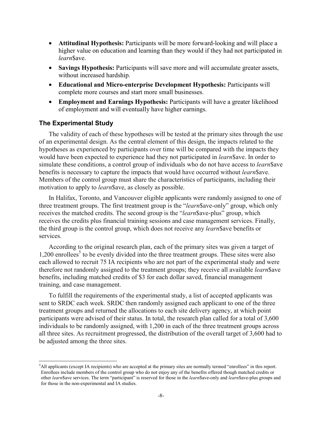- **Attitudinal Hypothesis:** Participants will be more forward-looking and will place a higher value on education and learning than they would if they had not participated in *learn*\$ave.
- **Savings Hypothesis:** Participants will save more and will accumulate greater assets, without increased hardship.
- **Educational and Micro-enterprise Development Hypothesis:** Participants will complete more courses and start more small businesses.
- **Employment and Earnings Hypothesis:** Participants will have a greater likelihood of employment and will eventually have higher earnings.

#### **The Experimental Study**

 $\overline{a}$ 

The validity of each of these hypotheses will be tested at the primary sites through the use of an experimental design. As the central element of this design, the impacts related to the hypotheses as experienced by participants over time will be compared with the impacts they would have been expected to experience had they not participated in *learn*\$ave. In order to simulate these conditions, a control group of individuals who do not have access to *learn*\$ave benefits is necessary to capture the impacts that would have occurred without *learn*\$ave. Members of the control group must share the characteristics of participants, including their motivation to apply to *learn*\$ave, as closely as possible.

In Halifax, Toronto, and Vancouver eligible applicants were randomly assigned to one of three treatment groups. The first treatment group is the "*learn*\$ave-only" group, which only receives the matched credits. The second group is the "*learn*\$ave-plus" group, which receives the credits plus financial training sessions and case management services. Finally, the third group is the control group, which does not receive any *learn*\$ave benefits or services.

According to the original research plan, each of the primary sites was given a target of 1,200 enrollees<sup>5</sup> to be evenly divided into the three treatment groups. These sites were also each allowed to recruit 75 IA recipients who are not part of the experimental study and were therefore not randomly assigned to the treatment groups; they receive all available *learn*\$ave benefits, including matched credits of \$3 for each dollar saved, financial management training, and case management.

To fulfill the requirements of the experimental study, a list of accepted applicants was sent to SRDC each week. SRDC then randomly assigned each applicant to one of the three treatment groups and returned the allocations to each site delivery agency, at which point participants were advised of their status. In total, the research plan called for a total of 3,600 individuals to be randomly assigned, with 1,200 in each of the three treatment groups across all three sites. As recruitment progressed, the distribution of the overall target of 3,600 had to be adjusted among the three sites.

<sup>5</sup> All applicants (except IA recipients) who are accepted at the primary sites are normally termed "enrollees" in this report. Enrollees include members of the control group who do not enjoy any of the benefits offered though matched credits or other *learn*\$ave services. The term "participant" is reserved for those in the *learn*\$ave-only and *learn*\$ave-plus groups and for those in the non-experimental and IA studies.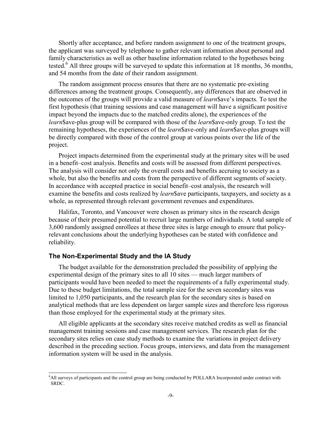Shortly after acceptance, and before random assignment to one of the treatment groups, the applicant was surveyed by telephone to gather relevant information about personal and family characteristics as well as other baseline information related to the hypotheses being tested.<sup>6</sup> All three groups will be surveyed to update this information at 18 months, 36 months, and 54 months from the date of their random assignment.

The random assignment process ensures that there are no systematic pre-existing differences among the treatment groups. Consequently, any differences that are observed in the outcomes of the groups will provide a valid measure of *learn*\$ave's impacts. To test the first hypothesis (that training sessions and case management will have a significant positive impact beyond the impacts due to the matched credits alone), the experiences of the *learn*\$ave-plus group will be compared with those of the *learn*\$ave-only group. To test the remaining hypotheses, the experiences of the *learn*\$ave-only and *learn*\$ave-plus groups will be directly compared with those of the control group at various points over the life of the project.

Project impacts determined from the experimental study at the primary sites will be used in a benefit–cost analysis. Benefits and costs will be assessed from different perspectives. The analysis will consider not only the overall costs and benefits accruing to society as a whole, but also the benefits and costs from the perspective of different segments of society. In accordance with accepted practice in social benefit–cost analysis, the research will examine the benefits and costs realized by *learn*\$ave participants, taxpayers, and society as a whole, as represented through relevant government revenues and expenditures.

Halifax, Toronto, and Vancouver were chosen as primary sites in the research design because of their presumed potential to recruit large numbers of individuals. A total sample of 3,600 randomly assigned enrollees at these three sites is large enough to ensure that policyrelevant conclusions about the underlying hypotheses can be stated with confidence and reliability.

#### **The Non-Experimental Study and the IA Study**

 $\overline{a}$ 

The budget available for the demonstration precluded the possibility of applying the experimental design of the primary sites to all 10 sites — much larger numbers of participants would have been needed to meet the requirements of a fully experimental study. Due to these budget limitations, the total sample size for the seven secondary sites was limited to 1,050 participants, and the research plan for the secondary sites is based on analytical methods that are less dependent on larger sample sizes and therefore less rigorous than those employed for the experimental study at the primary sites.

All eligible applicants at the secondary sites receive matched credits as well as financial management training sessions and case management services. The research plan for the secondary sites relies on case study methods to examine the variations in project delivery described in the preceding section. Focus groups, interviews, and data from the management information system will be used in the analysis.

<sup>6</sup> All surveys of participants and the control group are being conducted by POLLARA Incorporated under contract with SRDC.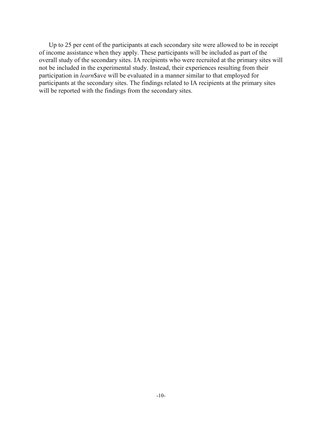Up to 25 per cent of the participants at each secondary site were allowed to be in receipt of income assistance when they apply. These participants will be included as part of the overall study of the secondary sites. IA recipients who were recruited at the primary sites will not be included in the experimental study. Instead, their experiences resulting from their participation in *learn*\$ave will be evaluated in a manner similar to that employed for participants at the secondary sites. The findings related to IA recipients at the primary sites will be reported with the findings from the secondary sites.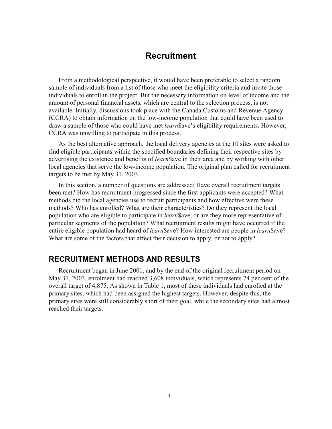# **Recruitment**

From a methodological perspective, it would have been preferable to select a random sample of individuals from a list of those who meet the eligibility criteria and invite those individuals to enroll in the project. But the necessary information on level of income and the amount of personal financial assets, which are central to the selection process, is not available. Initially, discussions took place with the Canada Customs and Revenue Agency (CCRA) to obtain information on the low-income population that could have been used to draw a sample of those who could have met *learn*\$ave's eligibility requirements. However, CCRA was unwilling to participate in this process.

As the best alternative approach, the local delivery agencies at the 10 sites were asked to find eligible participants within the specified boundaries defining their respective sites by advertising the existence and benefits of *learn*\$ave in their area and by working with other local agencies that serve the low-income population. The original plan called for recruitment targets to be met by May 31, 2003.

In this section, a number of questions are addressed: Have overall recruitment targets been met? How has recruitment progressed since the first applicants were accepted? What methods did the local agencies use to recruit participants and how effective were these methods? Who has enrolled? What are their characteristics? Do they represent the local population who are eligible to participate in *learn*\$ave, or are they more representative of particular segments of the population? What recruitment results might have occurred if the entire eligible population had heard of *learn*\$ave? How interested are people in *learn*\$ave? What are some of the factors that affect their decision to apply, or not to apply?

# **RECRUITMENT METHODS AND RESULTS**

Recruitment began in June 2001, and by the end of the original recruitment period on May 31, 2003, enrolment had reached 3,608 individuals, which represents 74 per cent of the overall target of 4,875. As shown in Table 1, most of these individuals had enrolled at the primary sites, which had been assigned the highest targets. However, despite this, the primary sites were still considerably short of their goal, while the secondary sites had almost reached their targets.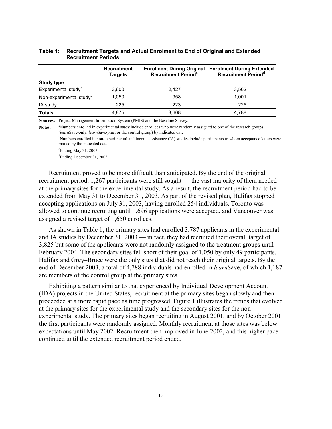|                                     | <b>Recruitment</b><br><b>Targets</b> | <b>Enrolment During Original</b><br>Recruitment Period <sup>c</sup> | <b>Enrolment During Extended</b><br>Recruitment Period <sup>d</sup> |
|-------------------------------------|--------------------------------------|---------------------------------------------------------------------|---------------------------------------------------------------------|
| <b>Study type</b>                   |                                      |                                                                     |                                                                     |
| Experimental study <sup>a</sup>     | 3,600                                | 2.427                                                               | 3,562                                                               |
| Non-experimental study <sup>b</sup> | 1.050                                | 958                                                                 | 1.001                                                               |
| IA study                            | 225                                  | 223                                                                 | 225                                                                 |
| <b>Totals</b>                       | 4.875                                | 3,608                                                               | 4.788                                                               |

#### **Table 1: Recruitment Targets and Actual Enrolment to End of Original and Extended Recruitment Periods**

**Sources:** Project Management Information System (PMIS) and the Baseline Survey.

Notes: <sup>a</sup>Numbers enrolled in experimental study include enrollees who were randomly assigned to one of the research groups (*learn*\$ave-only, *learn*\$ave-plus, or the control group) by indicated date.

<sup>b</sup>Numbers enrolled in non-experimental and income assistance (IA) studies include participants to whom acceptance letters were mailed by the indicated date.

cEnding May 31, 2003.

dEnding December 31, 2003.

Recruitment proved to be more difficult than anticipated. By the end of the original recruitment period, 1,267 participants were still sought — the vast majority of them needed at the primary sites for the experimental study. As a result, the recruitment period had to be extended from May 31 to December 31, 2003. As part of the revised plan, Halifax stopped accepting applications on July 31, 2003, having enrolled 254 individuals. Toronto was allowed to continue recruiting until 1,696 applications were accepted, and Vancouver was assigned a revised target of 1,650 enrollees.

As shown in Table 1, the primary sites had enrolled 3,787 applicants in the experimental and IA studies by December 31, 2003 — in fact, they had recruited their overall target of 3,825 but some of the applicants were not randomly assigned to the treatment groups until February 2004. The secondary sites fell short of their goal of 1,050 by only 49 participants. Halifax and Grey–Bruce were the only sites that did not reach their original targets. By the end of December 2003, a total of 4,788 individuals had enrolled in *learn*\$ave, of which 1,187 are members of the control group at the primary sites.

Exhibiting a pattern similar to that experienced by Individual Development Account (IDA) projects in the United States, recruitment at the primary sites began slowly and then proceeded at a more rapid pace as time progressed. Figure 1 illustrates the trends that evolved at the primary sites for the experimental study and the secondary sites for the nonexperimental study. The primary sites began recruiting in August 2001, and by October 2001 the first participants were randomly assigned. Monthly recruitment at those sites was below expectations until May 2002. Recruitment then improved in June 2002, and this higher pace continued until the extended recruitment period ended.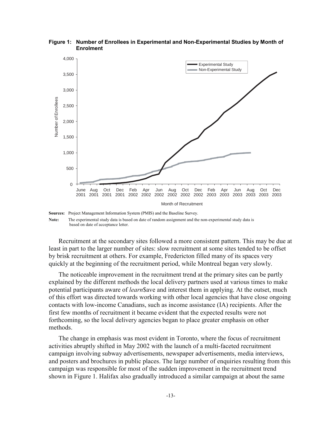

**Figure 1: Number of Enrollees in Experimental and Non-Experimental Studies by Month of Enrolment** 

**Note:** The experimental study data is based on date of random assignment and the non-experimental study data is based on date of acceptance letter.

Recruitment at the secondary sites followed a more consistent pattern. This may be due at least in part to the larger number of sites: slow recruitment at some sites tended to be offset by brisk recruitment at others. For example, Fredericton filled many of its spaces very quickly at the beginning of the recruitment period, while Montreal began very slowly.

The noticeable improvement in the recruitment trend at the primary sites can be partly explained by the different methods the local delivery partners used at various times to make potential participants aware of *learn*\$ave and interest them in applying. At the outset, much of this effort was directed towards working with other local agencies that have close ongoing contacts with low-income Canadians, such as income assistance (IA) recipients. After the first few months of recruitment it became evident that the expected results were not forthcoming, so the local delivery agencies began to place greater emphasis on other methods.

The change in emphasis was most evident in Toronto, where the focus of recruitment activities abruptly shifted in May 2002 with the launch of a multi-faceted recruitment campaign involving subway advertisements, newspaper advertisements, media interviews, and posters and brochures in public places. The large number of enquiries resulting from this campaign was responsible for most of the sudden improvement in the recruitment trend shown in Figure 1. Halifax also gradually introduced a similar campaign at about the same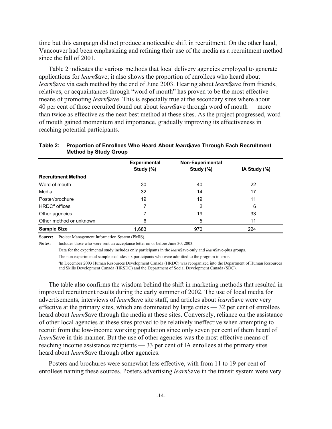time but this campaign did not produce a noticeable shift in recruitment. On the other hand, Vancouver had been emphasizing and refining their use of the media as a recruitment method since the fall of 2001.

Table 2 indicates the various methods that local delivery agencies employed to generate applications for *learn*\$ave; it also shows the proportion of enrollees who heard about *learn*\$ave via each method by the end of June 2003. Hearing about *learn*\$ave from friends, relatives, or acquaintances through "word of mouth" has proven to be the most effective means of promoting *learn*\$ave. This is especially true at the secondary sites where about 40 per cent of those recruited found out about *learn*\$ave through word of mouth — more than twice as effective as the next best method at these sites. As the project progressed, word of mouth gained momentum and importance, gradually improving its effectiveness in reaching potential participants.

|                           | <b>Experimental</b><br>Study (%) | Non-Experimental<br>Study (%) | IA Study (%) |
|---------------------------|----------------------------------|-------------------------------|--------------|
| <b>Recruitment Method</b> |                                  |                               |              |
| Word of mouth             | 30                               | 40                            | 22           |
| Media                     | 32                               | 14                            | 17           |
| Poster/brochure           | 19                               | 19                            | 11           |
| HRDC <sup>ª</sup> offices | 7                                | 2                             | 6            |
| Other agencies            |                                  | 19                            | 33           |
| Other method or unknown   | 6                                | 5                             | 11           |
| <b>Sample Size</b>        | 1,683                            | 970                           | 224          |

#### **Table 2: Proportion of Enrollees Who Heard About** *learn***\$ave Through Each Recruitment Method by Study Group**

**Source:** Project Management Information System (PMIS).

**Notes:** Includes those who were sent an acceptance letter on or before June 30, 2003.

Data for the experimental study includes only participants in the *learn*\$ave-only and *learn*\$ave-plus groups.

The non-experimental sample excludes six participants who were admitted to the program in error.

a In December 2003 Human Resources Development Canada (HRDC) was reorganized into the Department of Human Resources and Skills Development Canada (HRSDC) and the Department of Social Development Canada (SDC).

The table also confirms the wisdom behind the shift in marketing methods that resulted in improved recruitment results during the early summer of 2002. The use of local media for advertisements, interviews of *learn*\$ave site staff, and articles about *learn*\$ave were very effective at the primary sites, which are dominated by large cities — 32 per cent of enrollees heard about *learn*\$ave through the media at these sites. Conversely, reliance on the assistance of other local agencies at these sites proved to be relatively ineffective when attempting to recruit from the low-income working population since only seven per cent of them heard of *learn*\$ave in this manner. But the use of other agencies was the most effective means of reaching income assistance recipients — 33 per cent of IA enrollees at the primary sites heard about *learn*\$ave through other agencies.

Posters and brochures were somewhat less effective, with from 11 to 19 per cent of enrollees naming these sources. Posters advertising *learn*\$ave in the transit system were very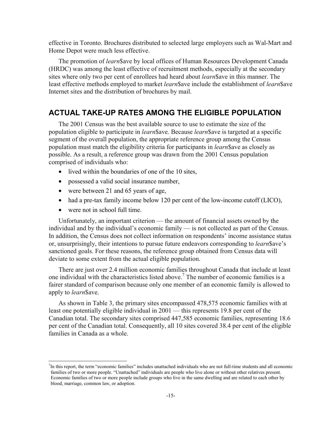effective in Toronto. Brochures distributed to selected large employers such as Wal-Mart and Home Depot were much less effective.

The promotion of *learn*\$ave by local offices of Human Resources Development Canada (HRDC) was among the least effective of recruitment methods, especially at the secondary sites where only two per cent of enrollees had heard about *learn*\$ave in this manner. The least effective methods employed to market *learn*\$ave include the establishment of *learn*\$ave Internet sites and the distribution of brochures by mail.

# **ACTUAL TAKE-UP RATES AMONG THE ELIGIBLE POPULATION**

The 2001 Census was the best available source to use to estimate the size of the population eligible to participate in *learn*\$ave. Because *learn*\$ave is targeted at a specific segment of the overall population, the appropriate reference group among the Census population must match the eligibility criteria for participants in *learn*\$ave as closely as possible. As a result, a reference group was drawn from the 2001 Census population comprised of individuals who:

- lived within the boundaries of one of the 10 sites,
- possessed a valid social insurance number,
- were between 21 and 65 years of age,
- had a pre-tax family income below 120 per cent of the low-income cutoff (LICO),
- were not in school full time.

 $\overline{a}$ 

Unfortunately, an important criterion — the amount of financial assets owned by the individual and by the individual's economic family — is not collected as part of the Census. In addition, the Census does not collect information on respondents' income assistance status or, unsurprisingly, their intentions to pursue future endeavors corresponding to *learn*\$ave's sanctioned goals. For these reasons, the reference group obtained from Census data will deviate to some extent from the actual eligible population.

There are just over 2.4 million economic families throughout Canada that include at least one individual with the characteristics listed above.<sup>7</sup> The number of economic families is a fairer standard of comparison because only one member of an economic family is allowed to apply to *learn*\$ave.

As shown in Table 3, the primary sites encompassed 478,575 economic families with at least one potentially eligible individual in 2001 — this represents 19.8 per cent of the Canadian total. The secondary sites comprised 447,585 economic families, representing 18.6 per cent of the Canadian total. Consequently, all 10 sites covered 38.4 per cent of the eligible families in Canada as a whole.

 $<sup>7</sup>$ In this report, the term "economic families" includes unattached individuals who are not full-time students and all economic</sup> families of two or more people. "Unattached" individuals are people who live alone or without other relatives present. Economic families of two or more people include groups who live in the same dwelling and are related to each other by blood, marriage, common law, or adoption.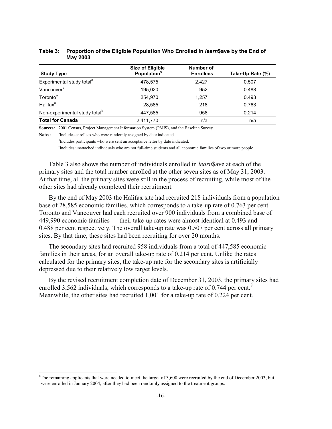| <b>Study Type</b>                         | <b>Size of Eligible</b><br>Population <sup>c</sup> | <b>Number of</b><br><b>Enrollees</b> | Take-Up Rate (%) |
|-------------------------------------------|----------------------------------------------------|--------------------------------------|------------------|
| Experimental study total <sup>a</sup>     | 478,575                                            | 2.427                                | 0.507            |
| Vancouver <sup>a</sup>                    | 195.020                                            | 952                                  | 0.488            |
| Toronto <sup>a</sup>                      | 254.970                                            | 1.257                                | 0.493            |
| Halifax <sup>a</sup>                      | 28.585                                             | 218                                  | 0.763            |
| Non-experimental study total <sup>b</sup> | 447,585                                            | 958                                  | 0.214            |
| <b>Total for Canada</b>                   | 2,411,770                                          | n/a                                  | n/a              |

#### **Table 3: Proportion of the Eligible Population Who Enrolled in** *learn***\$ave by the End of May 2003**

**Sources:** 2001 Census, Project Management Information System (PMIS), and the Baseline Survey.

Notes: <sup>a</sup>Includes enrollees who were randomly assigned by date indicated.

 $\overline{a}$ 

<sup>b</sup>Includes participants who were sent an acceptance letter by date indicated.

<sup>c</sup>Includes unattached individuals who are not full-time students and all economic families of two or more people.

Table 3 also shows the number of individuals enrolled in *learn*\$ave at each of the primary sites and the total number enrolled at the other seven sites as of May 31, 2003. At that time, all the primary sites were still in the process of recruiting, while most of the other sites had already completed their recruitment.

By the end of May 2003 the Halifax site had recruited 218 individuals from a population base of 28,585 economic families, which corresponds to a take-up rate of 0.763 per cent. Toronto and Vancouver had each recruited over 900 individuals from a combined base of 449,990 economic families — their take-up rates were almost identical at 0.493 and 0.488 per cent respectively. The overall take-up rate was 0.507 per cent across all primary sites. By that time, these sites had been recruiting for over 20 months.

The secondary sites had recruited 958 individuals from a total of 447,585 economic families in their areas, for an overall take-up rate of 0.214 per cent. Unlike the rates calculated for the primary sites, the take-up rate for the secondary sites is artificially depressed due to their relatively low target levels.

By the revised recruitment completion date of December 31, 2003, the primary sites had enrolled 3,562 individuals, which corresponds to a take-up rate of  $0.744$  per cent.<sup>8</sup> Meanwhile, the other sites had recruited 1,001 for a take-up rate of 0.224 per cent.

 ${}^{8}$ The remaining applicants that were needed to meet the target of 3,600 were recruited by the end of December 2003, but were enrolled in January 2004, after they had been randomly assigned to the treatment groups.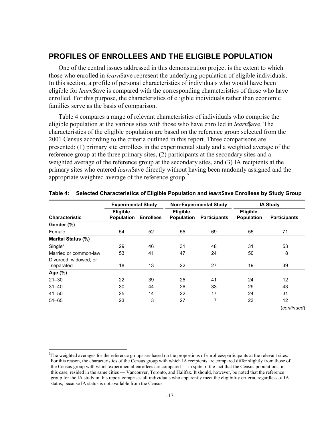# **PROFILES OF ENROLLEES AND THE ELIGIBLE POPULATION**

One of the central issues addressed in this demonstration project is the extent to which those who enrolled in *learn*\$ave represent the underlying population of eligible individuals. In this section, a profile of personal characteristics of individuals who would have been eligible for *learn*\$ave is compared with the corresponding characteristics of those who have enrolled. For this purpose, the characteristics of eligible individuals rather than economic families serve as the basis of comparison.

Table 4 compares a range of relevant characteristics of individuals who comprise the eligible population at the various sites with those who have enrolled in *learn*\$ave. The characteristics of the eligible population are based on the reference group selected from the 2001 Census according to the criteria outlined in this report. Three comparisons are presented: (1) primary site enrollees in the experimental study and a weighted average of the reference group at the three primary sites, (2) participants at the secondary sites and a weighted average of the reference group at the secondary sites, and (3) IA recipients at the primary sites who entered *learn*\$ave directly without having been randomly assigned and the appropriate weighted average of the reference group.<sup>9</sup>

|                                    |                               | <b>Experimental Study</b> |                                      | <b>Non-Experimental Study</b> | <b>IA Study</b>                      |                     |
|------------------------------------|-------------------------------|---------------------------|--------------------------------------|-------------------------------|--------------------------------------|---------------------|
| <b>Characteristic</b>              | Eligible<br><b>Population</b> | <b>Enrollees</b>          | <b>Eligible</b><br><b>Population</b> | <b>Participants</b>           | <b>Eligible</b><br><b>Population</b> | <b>Participants</b> |
| Gender (%)                         |                               |                           |                                      |                               |                                      |                     |
| Female                             | 54                            | 52                        | 55                                   | 69                            | 55                                   | 71                  |
| <b>Marital Status (%)</b>          |                               |                           |                                      |                               |                                      |                     |
| Single <sup>a</sup>                | 29                            | 46                        | 31                                   | 48                            | 31                                   | 53                  |
| Married or common-law              | 53                            | 41                        | 47                                   | 24                            | 50                                   | 8                   |
| Divorced, widowed, or<br>separated | 18                            | 13                        | 22                                   | 27                            | 19                                   | 39                  |
| Age (%)                            |                               |                           |                                      |                               |                                      |                     |
| $21 - 30$                          | 22                            | 39                        | 25                                   | 41                            | 24                                   | 12                  |
| $31 - 40$                          | 30                            | 44                        | 26                                   | 33                            | 29                                   | 43                  |
| $41 - 50$                          | 25                            | 14                        | 22                                   | 17                            | 24                                   | 31                  |
| $51 - 65$                          | 23                            | 3                         | 27                                   | 7                             | 23                                   | 12                  |

#### **Table 4: Selected Characteristics of Eligible Population and** *learn***\$ave Enrollees by Study Group**

(*continued*)

l

<sup>&</sup>lt;sup>9</sup>The weighted averages for the reference groups are based on the proportions of enrollees/participants at the relevant sites. For this reason, the characteristics of the Census group with which IA recipients are compared differ slightly from those of the Census group with which experimental enrollees are compared — in spite of the fact that the Census populations, in this case, resided in the same cities — Vancouver, Toronto, and Halifax. It should, however, be noted that the reference group for the IA study in this report comprises all individuals who apparently meet the eligibility criteria, regardless of IA status, because IA status is not available from the Census.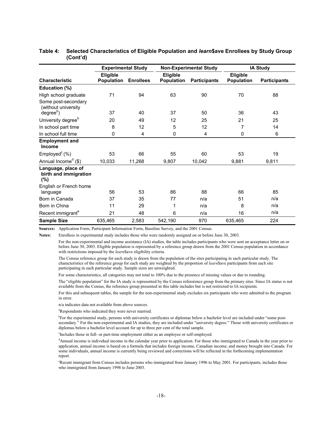|                                                    | <b>Experimental Study</b> |                  |            | <b>Non-Experimental Study</b> |                   | IA Study            |
|----------------------------------------------------|---------------------------|------------------|------------|-------------------------------|-------------------|---------------------|
|                                                    | <b>Eligible</b>           |                  | Eligible   |                               | Eligible          |                     |
| <b>Characteristic</b>                              | Population                | <b>Enrollees</b> | Population | <b>Participants</b>           | <b>Population</b> | <b>Participants</b> |
| Education (%)                                      |                           |                  |            |                               |                   |                     |
| High school graduate                               | 71                        | 94               | 63         | 90                            | 70                | 88                  |
| Some post-secondary<br>(without university         |                           |                  |            |                               |                   |                     |
| degree <sup>b</sup> )                              | 37                        | 40               | 37         | 50                            | 36                | 43                  |
| University degree <sup>b</sup>                     | 20                        | 49               | 12         | 25                            | 21                | 25                  |
| In school part time                                | 8                         | 12               | 5          | 12                            | 7                 | 14                  |
| In school full time                                | 0                         | 4                | 0          | 4                             | 0                 | 6                   |
| <b>Employment and</b><br><b>Income</b>             |                           |                  |            |                               |                   |                     |
| Employed $c$ (%)                                   | 53                        | 66               | 55         | 60                            | 53                | 19                  |
| Annual Income <sup>d</sup> (\$)                    | 10,033                    | 11,268           | 9,807      | 10,042                        | 9,881             | 9,811               |
| Language, place of<br>birth and immigration<br>(%) |                           |                  |            |                               |                   |                     |
| English or French home<br>language                 | 56                        | 53               | 86         | 88                            | 66                | 85                  |
| Born in Canada                                     | 37                        | 35               | 77         | n/a                           | 51                | n/a                 |
| Born in China                                      | 11                        | 29               | 1          | n/a                           | 8                 | n/a                 |
| Recent immigrant <sup>e</sup>                      | 21                        | 48               | 6          | n/a                           | 16                | n/a                 |
| <b>Sample Size</b>                                 | 635,465                   | 2,583            | 542,190    | 970                           | 635,465           | 224                 |

#### **Table 4: Selected Characteristics of Eligible Population and** *learn***\$ave Enrollees by Study Group (Cont'd)**

**Sources:** Application Form, Participant Information Form, Baseline Survey, and the 2001 Census.

**Notes:** Enrollees in experimental study includes those who were randomly assigned on or before June 30, 2003.

 For the non-experimental and income assistance (IA) studies, the table includes participants who were sent an acceptance letter on or before June 30, 2003. Eligible population is represented by a reference group drawn from the 2001 Census population in accordance with restrictions imposed by the *learn*\$ave eligibility criteria.

 The Census reference group for each study is drawn from the population of the sites participating in each particular study. The characteristics of the reference group for each study are weighted by the proportion of *learn*\$ave participants from each site participating in each particular study. Sample sizes are unweighted.

For some characteristics, all categories may not total to 100% due to the presence of missing values or due to rounding.

 The "eligible population" for the IA study is represented by the Census refererence group from the primary sites. Since IA status is not available from the Census, the reference group presented in this table includes but is not restricted to IA recipients.

 For this and subsequent tables, the sample for the non-experimental study excludes six participants who were admitted to the program in error.

n/a indicates data not available from above sources.

<sup>a</sup>Respondents who indicated they were never married.

<sup>b</sup>For the experimental study, persons with university certificates or diplomas below a bachelor level are included under "some postsecondary." For the non-experimental and IA studies, they are included under "university degree." Those with university certificates or diplomas below a bachelor level account for up to three per cent of the total sample.

c Includes those in full- or part-time employment either as an employee or self-employed.

d Annual income is individual income in the calendar year prior to application. For those who immigrated to Canada in the year prior to application, annual income is based on a formula that includes foreign income, Canadian income, and money brought into Canada. For some individuals, annual income is currently being reviewed and corrections will be reflected in the forthcoming implementation report.

e Recent immigrant from Census includes persons who immigrated from January 1996 to May 2001. For participants, includes those who immigrated from January 1998 to June 2003.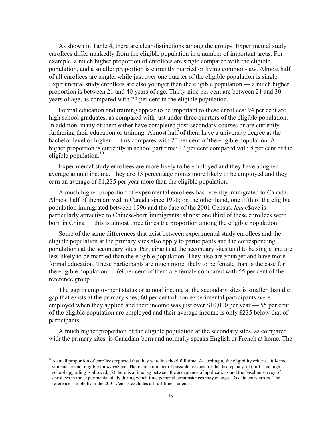As shown in Table 4, there are clear distinctions among the groups. Experimental study enrollees differ markedly from the eligible population in a number of important areas. For example, a much higher proportion of enrollees are single compared with the eligible population, and a smaller proportion is currently married or living common-law. Almost half of all enrollees are single, while just over one quarter of the eligible population is single. Experimental study enrollees are also younger than the eligible population — a much higher proportion is between 21 and 40 years of age. Thirty-nine per cent are between 21 and 30 years of age, as compared with 22 per cent in the eligible population.

Formal education and training appear to be important to these enrollees: 94 per cent are high school graduates, as compared with just under three quarters of the eligible population. In addition, many of them either have completed post-secondary courses or are currently furthering their education or training. Almost half of them have a university degree at the bachelor level or higher — this compares with 20 per cent of the eligible population. A higher proportion is currently in school part time: 12 per cent compared with 8 per cent of the eligible population. $10$ 

Experimental study enrollees are more likely to be employed and they have a higher average annual income. They are 13 percentage points more likely to be employed and they earn an average of \$1,235 per year more than the eligible population.

A much higher proportion of experimental enrollees has recently immigrated to Canada. Almost half of them arrived in Canada since 1998; on the other hand, one fifth of the eligible population immigrated between 1996 and the date of the 2001 Census. *learn*\$ave is particularly attractive to Chinese-born immigrants: almost one third of these enrollees were born in China — this is almost three times the proportion among the eligible population.

Some of the same differences that exist between experimental study enrollees and the eligible population at the primary sites also apply to participants and the corresponding populations at the secondary sites. Participants at the secondary sites tend to be single and are less likely to be married than the eligible population. They also are younger and have more formal education. These participants are much more likely to be female than is the case for the eligible population — 69 per cent of them are female compared with 55 per cent of the reference group.

The gap in employment status or annual income at the secondary sites is smaller than the gap that exists at the primary sites; 60 per cent of non-experimental participants were employed when they applied and their income was just over \$10,000 per year — 55 per cent of the eligible population are employed and their average income is only \$235 below that of participants.

A much higher proportion of the eligible population at the secondary sites, as compared with the primary sites, is Canadian-born and normally speaks English or French at home. The

 $\overline{a}$ 

 $10$ A small proportion of enrollees reported that they were in school full time. According to the eligibility criteria, full-time students are not eligible for *learn*\$ave. There are a number of possible reasons for the discrepancy: (1) full-time high school upgrading is allowed, (2) there is a time lag between the acceptance of applications and the baseline survey of enrollees in the experimental study during which time personal circumstances may change, (3) data entry errors. The reference sample from the 2001 Census excludes all full-time students.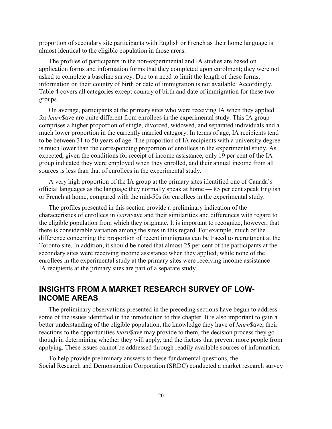proportion of secondary site participants with English or French as their home language is almost identical to the eligible population in those areas.

The profiles of participants in the non-experimental and IA studies are based on application forms and information forms that they completed upon enrolment; they were not asked to complete a baseline survey. Due to a need to limit the length of these forms, information on their country of birth or date of immigration is not available. Accordingly, Table 4 covers all categories except country of birth and date of immigration for these two groups.

On average, participants at the primary sites who were receiving IA when they applied for *learn*\$ave are quite different from enrollees in the experimental study. This IA group comprises a higher proportion of single, divorced, widowed, and separated individuals and a much lower proportion in the currently married category. In terms of age, IA recipients tend to be between 31 to 50 years of age. The proportion of IA recipients with a university degree is much lower than the corresponding proportion of enrollees in the experimental study. As expected, given the conditions for receipt of income assistance, only 19 per cent of the IA group indicated they were employed when they enrolled, and their annual income from all sources is less than that of enrollees in the experimental study.

A very high proportion of the IA group at the primary sites identified one of Canada's official languages as the language they normally speak at home — 85 per cent speak English or French at home, compared with the mid-50s for enrollees in the experimental study.

The profiles presented in this section provide a preliminary indication of the characteristics of enrollees in *learn*\$ave and their similarities and differences with regard to the eligible population from which they originate. It is important to recognize, however, that there is considerable variation among the sites in this regard. For example, much of the difference concerning the proportion of recent immigrants can be traced to recruitment at the Toronto site. In addition, it should be noted that almost 25 per cent of the participants at the secondary sites were receiving income assistance when they applied, while none of the enrollees in the experimental study at the primary sites were receiving income assistance — IA recipients at the primary sites are part of a separate study.

# **INSIGHTS FROM A MARKET RESEARCH SURVEY OF LOW-INCOME AREAS**

The preliminary observations presented in the preceding sections have begun to address some of the issues identified in the introduction to this chapter. It is also important to gain a better understanding of the eligible population, the knowledge they have of *learn*\$ave, their reactions to the opportunities *learn*\$ave may provide to them, the decision process they go though in determining whether they will apply, and the factors that prevent more people from applying. These issues cannot be addressed through readily available sources of information.

To help provide preliminary answers to these fundamental questions, the Social Research and Demonstration Corporation (SRDC) conducted a market research survey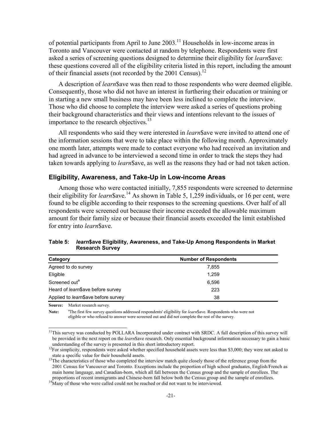of potential participants from April to June  $2003$ .<sup>11</sup> Households in low-income areas in Toronto and Vancouver were contacted at random by telephone. Respondents were first asked a series of screening questions designed to determine their eligibility for *learn*\$ave: these questions covered all of the eligibility criteria listed in this report, including the amount of their financial assets (not recorded by the 2001 Census).<sup>12</sup>

A description of *learn*\$ave was then read to those respondents who were deemed eligible. Consequently, those who did not have an interest in furthering their education or training or in starting a new small business may have been less inclined to complete the interview. Those who did choose to complete the interview were asked a series of questions probing their background characteristics and their views and intentions relevant to the issues of importance to the research objectives.<sup>13</sup>

All respondents who said they were interested in *learn*\$ave were invited to attend one of the information sessions that were to take place within the following month. Approximately one month later, attempts were made to contact everyone who had received an invitation and had agreed in advance to be interviewed a second time in order to track the steps they had taken towards applying to *learn*\$ave, as well as the reasons they had or had not taken action.

#### **Eligibility, Awareness, and Take-Up in Low-income Areas**

Among those who were contacted initially, 7,855 respondents were screened to determine their eligibility for *learn* \$ave.<sup>14</sup> As shown in Table 5, 1,259 individuals, or 16 per cent, were found to be eligible according to their responses to the screening questions. Over half of all respondents were screened out because their income exceeded the allowable maximum amount for their family size or because their financial assets exceeded the limit established for entry into *learn*\$ave.

| Category                          | <b>Number of Respondents</b> |  |
|-----------------------------------|------------------------------|--|
| Agreed to do survey               | 7.855                        |  |
| Eligible                          | 1.259                        |  |
| Screened out <sup>a</sup>         | 6.596                        |  |
| Heard of learn\$ave before survey | 223                          |  |

#### **Table 5:** *learn***\$ave Eligibility, Awareness, and Take-Up Among Respondents in Market Research Survey**

**Source:** Market research survey.

 $\overline{a}$ 

Applied to *learn*\$ave before survey 38

Note: <sup>a</sup>The first few survey questions addressed respondents' eligibility for *learn*\$ave. Respondents who were not eligible or who refused to answer were screened out and did not complete the rest of the survey.

<sup>&</sup>lt;sup>11</sup>This survey was conducted by POLLARA Incorporated under contract with SRDC. A full description of this survey will be provided in the next report on the *learn*\$ave research. Only essential background information necessary to gain a basic understanding of the survey is presented in this short introductory report.<br><sup>12</sup>For simplicity, respondents were asked whether specified household assets were less than \$3,000; they were not asked to

state a specific value for their household assets.<br><sup>13</sup>The characteristics of those who completed the interview match quite closely those of the reference group from the 2001 Census for Vancouver and Toronto. Exceptions include the proportion of high school graduates, English/French as main home language, and Canadian-born, which all fall between the Census group and the sample of enrollees. The proportions of recent immigrants and Chinese-born fall below both the Census group and the sample of enrollees. 14Many of those who were called could not be reached or did not want to be interviewed.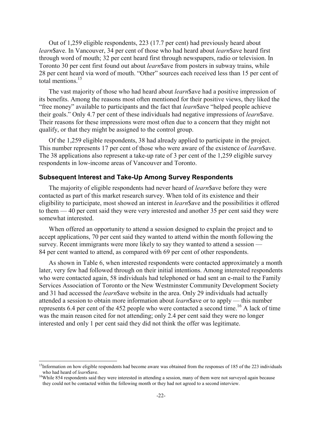Out of 1,259 eligible respondents, 223 (17.7 per cent) had previously heard about *learn*\$ave. In Vancouver, 34 per cent of those who had heard about *learn*\$ave heard first through word of mouth; 32 per cent heard first through newspapers, radio or television. In Toronto 30 per cent first found out about *learn*\$ave from posters in subway trains, while 28 per cent heard via word of mouth. "Other" sources each received less than 15 per cent of total mentions  $15$ 

The vast majority of those who had heard about *learn*\$ave had a positive impression of its benefits. Among the reasons most often mentioned for their positive views, they liked the "free money" available to participants and the fact that *learn*\$ave "helped people achieve their goals." Only 4.7 per cent of these individuals had negative impressions of *learn*\$ave. Their reasons for these impressions were most often due to a concern that they might not qualify, or that they might be assigned to the control group.

Of the 1,259 eligible respondents, 38 had already applied to participate in the project. This number represents 17 per cent of those who were aware of the existence of *learn*\$ave. The 38 applications also represent a take-up rate of 3 per cent of the 1,259 eligible survey respondents in low-income areas of Vancouver and Toronto.

#### **Subsequent Interest and Take-Up Among Survey Respondents**

The majority of eligible respondents had never heard of *learn*\$ave before they were contacted as part of this market research survey. When told of its existence and their eligibility to participate, most showed an interest in *learn*\$ave and the possibilities it offered to them — 40 per cent said they were very interested and another 35 per cent said they were somewhat interested.

When offered an opportunity to attend a session designed to explain the project and to accept applications, 70 per cent said they wanted to attend within the month following the survey. Recent immigrants were more likely to say they wanted to attend a session — 84 per cent wanted to attend, as compared with 69 per cent of other respondents.

As shown in Table 6, when interested respondents were contacted approximately a month later, very few had followed through on their initial intentions. Among interested respondents who were contacted again, 58 individuals had telephoned or had sent an e-mail to the Family Services Association of Toronto or the New Westminster Community Development Society and 31 had accessed the *learn*\$ave website in the area. Only 29 individuals had actually attended a session to obtain more information about *learn*\$ave or to apply — this number represents 6.4 per cent of the 452 people who were contacted a second time.<sup>16</sup> A lack of time was the main reason cited for not attending; only 2.4 per cent said they were no longer interested and only 1 per cent said they did not think the offer was legitimate.

 $\overline{a}$ 

<sup>&</sup>lt;sup>15</sup>Information on how eligible respondents had become aware was obtained from the responses of 185 of the 223 individuals who had heard of *learn* Save.<br><sup>16</sup>While 854 respondents said they were interested in attending a session, many of them were not surveyed again because

they could not be contacted within the following month or they had not agreed to a second interview.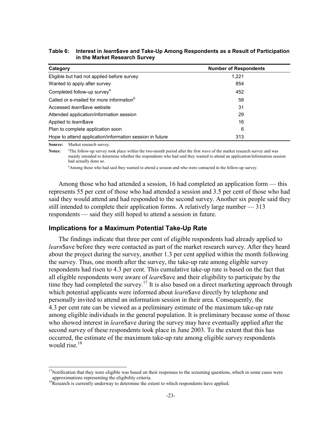| Category                                                 | <b>Number of Respondents</b> |  |
|----------------------------------------------------------|------------------------------|--|
| Eligible but had not applied before survey               | 1.221                        |  |
| Wanted to apply after survey                             | 854                          |  |
| Completed follow-up survey <sup>a</sup>                  | 452                          |  |
| Called or e-mailed for more information <sup>b</sup>     | 58                           |  |
| Accessed <i>learn</i> \$ave website                      | 31                           |  |
| Attended application/information session                 | 29                           |  |
| Applied to <i>learn</i> \$ave                            | 16                           |  |
| Plan to complete application soon                        | 6                            |  |
| Hope to attend application/information session in future | 313                          |  |

#### **Table 6: Interest in** *learn***\$ave and Take-Up Among Respondents as a Result of Participation in the Market Research Survey**

**Source:** Market research survey.

 $\overline{a}$ 

Notes: <sup>a</sup>The follow-up survey took place within the two-month period after the first wave of the market research survey and was mainly intended to determine whether the respondents who had said they wanted to attend an application/information session had actually done so.

bAmong those who had said they wanted to attend a session and who were contacted in the follow-up survey.

Among those who had attended a session, 16 had completed an application form — this represents 55 per cent of those who had attended a session and 3.5 per cent of those who had said they would attend and had responded to the second survey. Another six people said they still intended to complete their application forms. A relatively large number — 313 respondents — said they still hoped to attend a session in future.

#### **Implications for a Maximum Potential Take-Up Rate**

The findings indicate that three per cent of eligible respondents had already applied to *learn*\$ave before they were contacted as part of the market research survey. After they heard about the project during the survey, another 1.3 per cent applied within the month following the survey. Thus, one month after the survey, the take-up rate among eligible survey respondents had risen to 4.3 per cent. This cumulative take-up rate is based on the fact that all eligible respondents were aware of *learn*\$ave and their eligibility to participate by the time they had completed the survey.<sup>17</sup> It is also based on a direct marketing approach through which potential applicants were informed about *learn*\$ave directly by telephone and personally invited to attend an information session in their area. Consequently, the 4.3 per cent rate can be viewed as a preliminary estimate of the maximum take-up rate among eligible individuals in the general population. It is preliminary because some of those who showed interest in *learn*\$ave during the survey may have eventually applied after the second survey of these respondents took place in June 2003. To the extent that this has occurred, the estimate of the maximum take-up rate among eligible survey respondents would rise  $18$ 

 $17$ Notification that they were eligible was based on their responses to the screening questions, which in some cases were approximations representing the eligibility criteria.<br><sup>18</sup>Research is currently underway to determine the extent to which respondents have applied.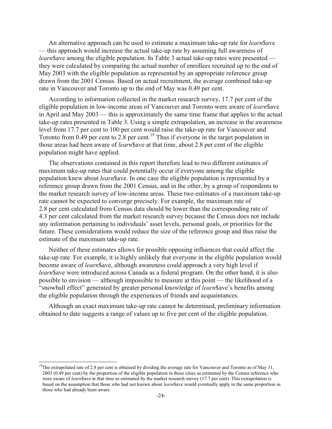An alternative approach can be used to estimate a maximum take-up rate for *learn*\$ave — this approach would increase the actual take-up rate by assuming full awareness of *learn*\$ave among the eligible population. In Table 3 actual take-up rates were presented they were calculated by comparing the actual number of enrollees recruited up to the end of May 2003 with the eligible population as represented by an appropriate reference group drawn from the 2001 Census. Based on actual recruitment, the average combined take-up rate in Vancouver and Toronto up to the end of May was 0.49 per cent.

According to information collected in the market research survey, 17.7 per cent of the eligible population in low-income areas of Vancouver and Toronto were aware of *learn*\$ave in April and May 2003 — this is approximately the same time frame that applies to the actual take-up rates presented in Table 3. Using a simple extrapolation, an increase in the awareness level from 17.7 per cent to 100 per cent would raise the take-up rate for Vancouver and Toronto from 0.49 per cent to 2.8 per cent.<sup>19</sup> Thus if everyone in the target population in those areas had been aware of *learn*\$ave at that time, about 2.8 per cent of the eligible population might have applied.

The observations contained in this report therefore lead to two different estimates of maximum take-up rates that could potentially occur if everyone among the eligible population knew about *learn*\$ave. In one case the eligible population is represented by a reference group drawn from the 2001 Census, and in the other, by a group of respondents to the market research survey of low-income areas. These two estimates of a maximum take-up rate cannot be expected to converge precisely. For example, the maximum rate of 2.8 per cent calculated from Census data should be lower than the corresponding rate of 4.3 per cent calculated from the market research survey because the Census does not include any information pertaining to individuals' asset levels, personal goals, or priorities for the future. These considerations would reduce the size of the reference group and thus raise the estimate of the maximum take-up rate.

Neither of these estimates allows for possible opposing influences that could affect the take-up rate. For example, it is highly unlikely that everyone in the eligible population would become aware of *learn*\$ave, although awareness could approach a very high level if *learn*\$ave were introduced across Canada as a federal program. On the other hand, it is also possible to envision — although impossible to measure at this point — the likelihood of a "snowball effect" generated by greater personal knowledge of *learn*\$ave's benefits among the eligible population through the experiences of friends and acquaintances.

Although an exact maximum take-up rate cannot be determined, preliminary information obtained to date suggests a range of values up to five per cent of the eligible population.

 $\overline{a}$ 

<sup>&</sup>lt;sup>19</sup>The extrapolated rate of 2.8 per cent is obtained by dividing the average rate for Vancouver and Toronto as of May 31, 2003 (0.49 per cent) by the proportion of the eligible population in those cities as estimated by the Census reference who were aware of *learn*\$ave at that time as estimated by the market research survey (17.7 per cent). This extrapolation is based on the assumption that those who had not known about *learn*\$ave would eventually apply in the same proportion as those who had already been aware.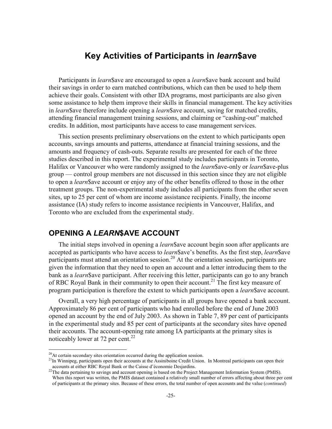# **Key Activities of Participants in** *learn***\$ave**

Participants in *learn*\$ave are encouraged to open a *learn*\$ave bank account and build their savings in order to earn matched contributions, which can then be used to help them achieve their goals. Consistent with other IDA programs, most participants are also given some assistance to help them improve their skills in financial management. The key activities in *learn*\$ave therefore include opening a *learn*\$ave account, saving for matched credits, attending financial management training sessions, and claiming or "cashing-out" matched credits. In addition, most participants have access to case management services.

This section presents preliminary observations on the extent to which participants open accounts, savings amounts and patterns, attendance at financial training sessions, and the amounts and frequency of cash-outs. Separate results are presented for each of the three studies described in this report. The experimental study includes participants in Toronto, Halifax or Vancouver who were randomly assigned to the *learn*\$ave-only or *learn*\$ave-plus group — control group members are not discussed in this section since they are not eligible to open a *learn*\$ave account or enjoy any of the other benefits offered to those in the other treatment groups. The non-experimental study includes all participants from the other seven sites, up to 25 per cent of whom are income assistance recipients. Finally, the income assistance (IA) study refers to income assistance recipients in Vancouver, Halifax, and Toronto who are excluded from the experimental study.

# **OPENING A** *LEARN***\$AVE ACCOUNT**

The initial steps involved in opening a *learn*\$ave account begin soon after applicants are accepted as participants who have access to *learn*\$ave's benefits. As the first step, *learn*\$ave participants must attend an orientation session.<sup>20</sup> At the orientation session, participants are given the information that they need to open an account and a letter introducing them to the bank as a *learn*\$ave participant. After receiving this letter, participants can go to any branch of RBC Royal Bank in their community to open their account.<sup>21</sup> The first key measure of program participation is therefore the extent to which participants open a *learn*\$ave account.

Overall, a very high percentage of participants in all groups have opened a bank account. Approximately 86 per cent of participants who had enrolled before the end of June 2003 opened an account by the end of July 2003. As shown in Table 7, 89 per cent of participants in the experimental study and 85 per cent of participants at the secondary sites have opened their accounts. The account-opening rate among IA participants at the primary sites is noticeably lower at 72 per cent. $^{22}$ 

l

 $20$ At certain secondary sites orientation occurred during the application session.

<sup>&</sup>lt;sup>21</sup>In Winnipeg, participants open their accounts at the Assiniboine Credit Union. In Montreal participants can open their accounts at either RBC Royal Bank or the Caisse d'économie Desiardins.

<sup>&</sup>lt;sup>22</sup>The data pertaining to savings and account opening is based on the Project Management Information System (PMIS). When this report was written, the PMIS dataset contained a relatively small number of errors affecting about three per cent of participants at the primary sites. Because of these errors, the total number of open accounts and the value (*continued*)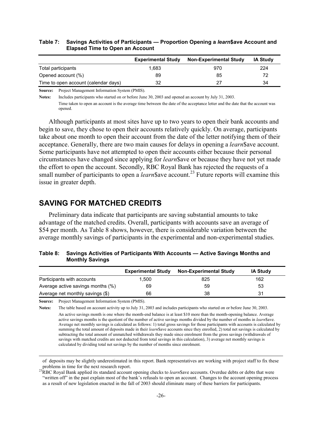#### **Table 7: Savings Activities of Participants — Proportion Opening a** *learn***\$ave Account and Elapsed Time to Open an Account**

|                                      | <b>Experimental Study</b> | <b>Non-Experimental Study</b> | <b>IA Study</b> |
|--------------------------------------|---------------------------|-------------------------------|-----------------|
| Total participants                   | 1.683                     | 970                           | 224             |
| Opened account (%)                   | 89                        | 85                            | 72              |
| Time to open account (calendar days) | 32                        | つつ                            | 34              |

**Source:** Project Management Information System (PMIS).

**Notes:** Includes participants who started on or before June 30, 2003 and opened an account by July 31, 2003.

 Time taken to open an account is the average time between the date of the acceptance letter and the date that the account was opened.

Although participants at most sites have up to two years to open their bank accounts and begin to save, they chose to open their accounts relatively quickly. On average, participants take about one month to open their account from the date of the letter notifying them of their acceptance. Generally, there are two main causes for delays in opening a *learn*\$ave account. Some participants have not attempted to open their accounts either because their personal circumstances have changed since applying for *learn*\$ave or because they have not yet made the effort to open the account. Secondly, RBC Royal Bank has rejected the requests of a small number of participants to open a *learn* \$ave account.<sup>23</sup> Future reports will examine this issue in greater depth.

# **SAVING FOR MATCHED CREDITS**

Preliminary data indicate that participants are saving substantial amounts to take advantage of the matched credits. Overall, participants with accounts save an average of \$54 per month. As Table 8 shows, however, there is considerable variation between the average monthly savings of participants in the experimental and non-experimental studies.

| Table 8: Savings Activities of Participants With Accounts — Active Savings Months and |
|---------------------------------------------------------------------------------------|
| <b>Monthly Savings</b>                                                                |

|                                   | <b>Experimental Study</b> | <b>Non-Experimental Study</b> | <b>IA Study</b> |
|-----------------------------------|---------------------------|-------------------------------|-----------------|
| Participants with accounts        | 1.500                     | 825                           | 162             |
| Average active savings months (%) | 69                        | 59                            | 53              |
| Average net monthly savings (\$)  | 66                        | 38                            | 31              |

**Source:** Project Management Information System (PMIS).

 $\overline{a}$ 

**Notes:** The table based on account activity up to July 31, 2003 and includes participants who started on or before June 30, 2003.

 An active savings month is one where the month-end balance is at least \$10 more than the month-opening balance. Average active savings months is the quotient of the number of active savings months divided by the number of months in *learn*\$ave. Average net monthly savings is calculated as follows: 1) total gross savings for those participants with accounts is calculated by summing the total amount of deposits made in their *learn*\$ave accounts since they enrolled, 2) total net savings is calculated by subtracting the total amount of unmatched withdrawals they made since enrolment from the gross savings (withdrawals of savings with matched credits are not deducted from total savings in this calculation), 3) average net monthly savings is calculated by dividing total net savings by the number of months since enrolment.

of deposits may be slightly underestimated in this report. Bank representatives are working with project staff to fix these

problems in time for the next research report.<br><sup>23</sup>RBC Royal Bank applied its standard account opening checks to *learn*\$ave accounts. Overdue debts or debts that were "written off" in the past explain most of the bank's refusals to open an account. Changes to the account opening process as a result of new legislation enacted in the fall of 2003 should eliminate many of these barriers for participants.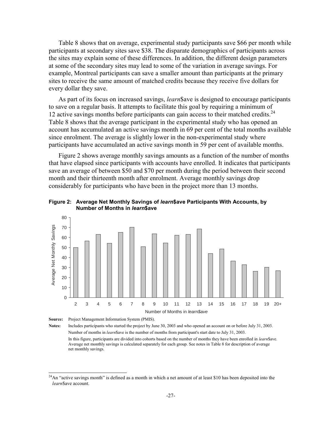Table 8 shows that on average, experimental study participants save \$66 per month while participants at secondary sites save \$38. The disparate demographics of participants across the sites may explain some of these differences. In addition, the different design parameters at some of the secondary sites may lead to some of the variation in average savings. For example, Montreal participants can save a smaller amount than participants at the primary sites to receive the same amount of matched credits because they receive five dollars for every dollar they save.

As part of its focus on increased savings, *learn*\$ave is designed to encourage participants to save on a regular basis. It attempts to facilitate this goal by requiring a minimum of 12 active savings months before participants can gain access to their matched credits.<sup>24</sup> Table 8 shows that the average participant in the experimental study who has opened an account has accumulated an active savings month in 69 per cent of the total months available since enrolment. The average is slightly lower in the non-experimental study where participants have accumulated an active savings month in 59 per cent of available months.

Figure 2 shows average monthly savings amounts as a function of the number of months that have elapsed since participants with accounts have enrolled. It indicates that participants save an average of between \$50 and \$70 per month during the period between their second month and their thirteenth month after enrolment. Average monthly savings drop considerably for participants who have been in the project more than 13 months.

**Figure 2: Average Net Monthly Savings of** *learn***\$ave Participants With Accounts, by Number of Months in** *learn***\$ave** 



**Source:** Project Management Information System (PMIS).

1

**Notes:** Includes participants who started the project by June 30, 2003 and who opened an account on or before July 31, 2003. Number of months in *learn*\$ave is the number of months from participant's start date to July 31, 2003. In this figure, participants are divided into cohorts based on the number of months they have been enrolled in *learn*\$ave. Average net monthly savings is calculated separately for each group. See notes in Table 8 for description of average net monthly savings.

 $^{24}$ An "active savings month" is defined as a month in which a net amount of at least \$10 has been deposited into the *learn*\$ave account.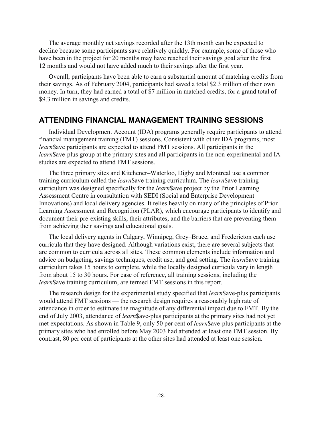The average monthly net savings recorded after the 13th month can be expected to decline because some participants save relatively quickly. For example, some of those who have been in the project for 20 months may have reached their savings goal after the first 12 months and would not have added much to their savings after the first year.

Overall, participants have been able to earn a substantial amount of matching credits from their savings. As of February 2004, participants had saved a total \$2.3 million of their own money. In turn, they had earned a total of \$7 million in matched credits, for a grand total of \$9.3 million in savings and credits.

#### **ATTENDING FINANCIAL MANAGEMENT TRAINING SESSIONS**

Individual Development Account (IDA) programs generally require participants to attend financial management training (FMT) sessions. Consistent with other IDA programs, most *learn*\$ave participants are expected to attend FMT sessions. All participants in the *learn*\$ave-plus group at the primary sites and all participants in the non-experimental and IA studies are expected to attend FMT sessions.

The three primary sites and Kitchener–Waterloo, Digby and Montreal use a common training curriculum called the *learn*\$ave training curriculum. The *learn*\$ave training curriculum was designed specifically for the *learn*\$ave project by the Prior Learning Assessment Centre in consultation with SEDI (Social and Enterprise Development Innovations) and local delivery agencies. It relies heavily on many of the principles of Prior Learning Assessment and Recognition (PLAR), which encourage participants to identify and document their pre-existing skills, their attributes, and the barriers that are preventing them from achieving their savings and educational goals.

The local delivery agents in Calgary, Winnipeg, Grey–Bruce, and Fredericton each use curricula that they have designed. Although variations exist, there are several subjects that are common to curricula across all sites. These common elements include information and advice on budgeting, savings techniques, credit use, and goal setting. The *learn*\$ave training curriculum takes 15 hours to complete, while the locally designed curricula vary in length from about 15 to 30 hours. For ease of reference, all training sessions, including the *learn*\$ave training curriculum, are termed FMT sessions in this report.

The research design for the experimental study specified that *learn*\$ave-plus participants would attend FMT sessions — the research design requires a reasonably high rate of attendance in order to estimate the magnitude of any differential impact due to FMT. By the end of July 2003, attendance of *learn*\$ave-plus participants at the primary sites had not yet met expectations. As shown in Table 9, only 50 per cent of *learn*\$ave-plus participants at the primary sites who had enrolled before May 2003 had attended at least one FMT session. By contrast, 80 per cent of participants at the other sites had attended at least one session.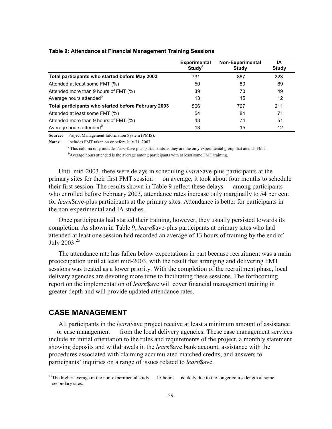|                                                     | <b>Experimental</b><br><b>Study<sup>a</sup></b> | <b>Non-Experimental</b><br><b>Study</b> | ΙA<br>Study |
|-----------------------------------------------------|-------------------------------------------------|-----------------------------------------|-------------|
| Total participants who started before May 2003      | 731                                             | 867                                     | 223         |
| Attended at least some FMT (%)                      | 50                                              | 80                                      | 69          |
| Attended more than 9 hours of FMT (%)               | 39                                              | 70                                      | 49          |
| Average hours attended <sup>b</sup>                 | 13                                              | 15                                      | 12          |
| Total participants who started before February 2003 | 566                                             | 767                                     | 211         |
| Attended at least some FMT (%)                      | 54                                              | 84                                      | 71          |
| Attended more than 9 hours of FMT (%)               | 43                                              | 74                                      | 51          |
| Average hours attended <sup>b</sup>                 | 13                                              | 15                                      | 12          |

#### **Table 9: Attendance at Financial Management Training Sessions**

**Source:** Project Management Information System (PMIS).

**Notes:** Includes FMT taken on or before July 31, 2003.

 a This column only includes *learn*\$ave-plus participants as they are the only experimental group that attends FMT. <sup>b</sup>Average hours attended is the average among participants with at least some FMT training.

Until mid-2003, there were delays in scheduling *learn*\$ave-plus participants at the primary sites for their first FMT session — on average, it took about four months to schedule their first session. The results shown in Table 9 reflect these delays — among participants who enrolled before February 2003, attendance rates increase only marginally to 54 per cent for *learn*\$ave-plus participants at the primary sites. Attendance is better for participants in the non-experimental and IA studies.

Once participants had started their training, however, they usually persisted towards its completion. As shown in Table 9, *learn*\$ave-plus participants at primary sites who had attended at least one session had recorded an average of 13 hours of training by the end of July  $2003.^{25}$ 

The attendance rate has fallen below expectations in part because recruitment was a main preoccupation until at least mid-2003, with the result that arranging and delivering FMT sessions was treated as a lower priority. With the completion of the recruitment phase, local delivery agencies are devoting more time to facilitating these sessions. The forthcoming report on the implementation of *learn*\$ave will cover financial management training in greater depth and will provide updated attendance rates.

# **CASE MANAGEMENT**

 $\overline{a}$ 

All participants in the *learn*\$ave project receive at least a minimum amount of assistance — or case management — from the local delivery agencies. These case management services include an initial orientation to the rules and requirements of the project, a monthly statement showing deposits and withdrawals in the *learn*\$ave bank account, assistance with the procedures associated with claiming accumulated matched credits, and answers to participants' inquiries on a range of issues related to *learn*\$ave.

<sup>&</sup>lt;sup>25</sup>The higher average in the non-experimental study — 15 hours — is likely due to the longer course length at some secondary sites.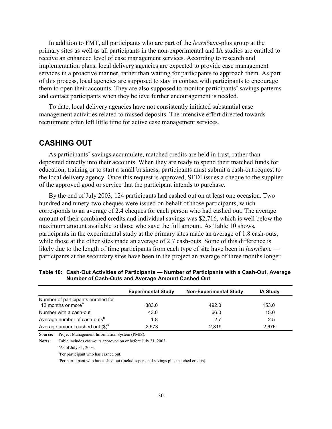In addition to FMT, all participants who are part of the *learn*\$ave-plus group at the primary sites as well as all participants in the non-experimental and IA studies are entitled to receive an enhanced level of case management services. According to research and implementation plans, local delivery agencies are expected to provide case management services in a proactive manner, rather than waiting for participants to approach them. As part of this process, local agencies are supposed to stay in contact with participants to encourage them to open their accounts. They are also supposed to monitor participants' savings patterns and contact participants when they believe further encouragement is needed.

To date, local delivery agencies have not consistently initiated substantial case management activities related to missed deposits. The intensive effort directed towards recruitment often left little time for active case management services.

### **CASHING OUT**

As participants' savings accumulate, matched credits are held in trust, rather than deposited directly into their accounts. When they are ready to spend their matched funds for education, training or to start a small business, participants must submit a cash-out request to the local delivery agency. Once this request is approved, SEDI issues a cheque to the supplier of the approved good or service that the participant intends to purchase.

By the end of July 2003, 124 participants had cashed out on at least one occasion. Two hundred and ninety-two cheques were issued on behalf of those participants, which corresponds to an average of 2.4 cheques for each person who had cashed out. The average amount of their combined credits and individual savings was \$2,716, which is well below the maximum amount available to those who save the full amount. As Table 10 shows, participants in the experimental study at the primary sites made an average of 1.8 cash-outs, while those at the other sites made an average of 2.7 cash-outs. Some of this difference is likely due to the length of time participants from each type of site have been in *learn*\$ave participants at the secondary sites have been in the project an average of three months longer.

|                                                                       | <b>Experimental Study</b> | <b>Non-Experimental Study</b> | <b>IA Study</b> |
|-----------------------------------------------------------------------|---------------------------|-------------------------------|-----------------|
| Number of participants enrolled for<br>12 months or more <sup>a</sup> | 383.0                     | 492.0                         | 153.0           |
| Number with a cash-out                                                | 43.0                      | 66.0                          | 15.0            |
| Average number of cash-outs <sup>b</sup>                              | 1.8                       | 2.7                           | 2.5             |
| Average amount cashed out $(\text{$\$})^c$                            | 2,573                     | 2.819                         | 2,676           |

**Table 10: Cash-Out Activities of Participants — Number of Participants with a Cash-Out, Average Number of Cash-Outs and Average Amount Cashed Out** 

**Source:** Project Management Information System (PMIS).

**Notes:** Table includes cash-outs approved on or before July 31, 2003.

 $a$ As of July 31, 2003.

b<sub>Per participant</sub> who has cashed out.

<sup>c</sup>Per participant who has cashed out (includes personal savings plus matched credits).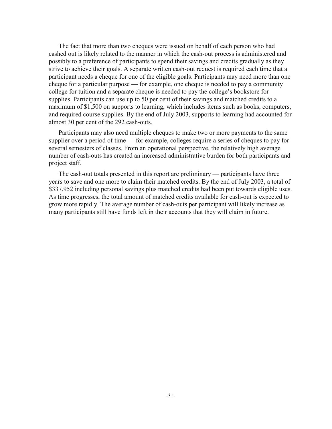The fact that more than two cheques were issued on behalf of each person who had cashed out is likely related to the manner in which the cash-out process is administered and possibly to a preference of participants to spend their savings and credits gradually as they strive to achieve their goals. A separate written cash-out request is required each time that a participant needs a cheque for one of the eligible goals. Participants may need more than one cheque for a particular purpose — for example, one cheque is needed to pay a community college for tuition and a separate cheque is needed to pay the college's bookstore for supplies. Participants can use up to 50 per cent of their savings and matched credits to a maximum of \$1,500 on supports to learning, which includes items such as books, computers, and required course supplies. By the end of July 2003, supports to learning had accounted for almost 30 per cent of the 292 cash-outs.

Participants may also need multiple cheques to make two or more payments to the same supplier over a period of time — for example, colleges require a series of cheques to pay for several semesters of classes. From an operational perspective, the relatively high average number of cash-outs has created an increased administrative burden for both participants and project staff.

The cash-out totals presented in this report are preliminary — participants have three years to save and one more to claim their matched credits. By the end of July 2003, a total of \$337,952 including personal savings plus matched credits had been put towards eligible uses. As time progresses, the total amount of matched credits available for cash-out is expected to grow more rapidly. The average number of cash-outs per participant will likely increase as many participants still have funds left in their accounts that they will claim in future.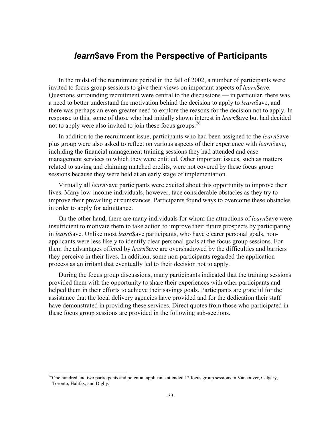# *learn***\$ave From the Perspective of Participants**

In the midst of the recruitment period in the fall of 2002, a number of participants were invited to focus group sessions to give their views on important aspects of *learn*\$ave. Questions surrounding recruitment were central to the discussions — in particular, there was a need to better understand the motivation behind the decision to apply to *learn*\$ave, and there was perhaps an even greater need to explore the reasons for the decision not to apply. In response to this, some of those who had initially shown interest in *learn*\$ave but had decided not to apply were also invited to join these focus groups.<sup>26</sup>

In addition to the recruitment issue, participants who had been assigned to the *learn* \$aveplus group were also asked to reflect on various aspects of their experience with *learn*\$ave, including the financial management training sessions they had attended and case management services to which they were entitled. Other important issues, such as matters related to saving and claiming matched credits, were not covered by these focus group sessions because they were held at an early stage of implementation.

Virtually all *learn*\$ave participants were excited about this opportunity to improve their lives. Many low-income individuals, however, face considerable obstacles as they try to improve their prevailing circumstances. Participants found ways to overcome these obstacles in order to apply for admittance.

On the other hand, there are many individuals for whom the attractions of *learn*\$ave were insufficient to motivate them to take action to improve their future prospects by participating in *learn*\$ave. Unlike most *learn*\$ave participants, who have clearer personal goals, nonapplicants were less likely to identify clear personal goals at the focus group sessions. For them the advantages offered by *learn*\$ave are overshadowed by the difficulties and barriers they perceive in their lives. In addition, some non-participants regarded the application process as an irritant that eventually led to their decision not to apply.

During the focus group discussions, many participants indicated that the training sessions provided them with the opportunity to share their experiences with other participants and helped them in their efforts to achieve their savings goals. Participants are grateful for the assistance that the local delivery agencies have provided and for the dedication their staff have demonstrated in providing these services. Direct quotes from those who participated in these focus group sessions are provided in the following sub-sections.

 $\overline{a}$ 

 $26$ One hundred and two participants and potential applicants attended 12 focus group sessions in Vancouver, Calgary, Toronto, Halifax, and Digby.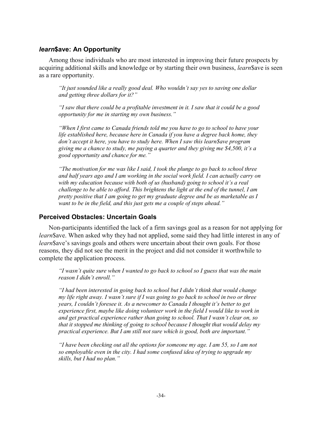#### *learn***\$ave: An Opportunity**

Among those individuals who are most interested in improving their future prospects by acquiring additional skills and knowledge or by starting their own business, *learn*\$ave is seen as a rare opportunity.

*"It just sounded like a really good deal. Who wouldn't say yes to saving one dollar and getting three dollars for it?"* 

*"I saw that there could be a profitable investment in it. I saw that it could be a good opportunity for me in starting my own business."* 

*"When I first came to Canada friends told me you have to go to school to have your life established here, because here in Canada if you have a degree back home, they don't accept it here, you have to study here. When I saw this learn\$ave program giving me a chance to study, me paying a quarter and they giving me \$4,500, it's a good opportunity and chance for me."* 

*"The motivation for me was like I said, I took the plunge to go back to school three and half years ago and I am working in the social work field. I can actually carry on with my education because with both of us (husband) going to school it's a real challenge to be able to afford. This brightens the light at the end of the tunnel, I am pretty positive that I am going to get my graduate degree and be as marketable as I want to be in the field, and this just gets me a couple of steps ahead."* 

#### **Perceived Obstacles: Uncertain Goals**

Non-participants identified the lack of a firm savings goal as a reason for not applying for *learn*\$ave. When asked why they had not applied, some said they had little interest in any of *learn* \$ave's savings goals and others were uncertain about their own goals. For those reasons, they did not see the merit in the project and did not consider it worthwhile to complete the application process.

*"I wasn't quite sure when I wanted to go back to school so I guess that was the main reason I didn't enroll."* 

*"I had been interested in going back to school but I didn't think that would change my life right away. I wasn't sure if I was going to go back to school in two or three years, I couldn't foresee it. As a newcomer to Canada I thought it's better to get experience first, maybe like doing volunteer work in the field I would like to work in and get practical experience rather than going to school. That I wasn't clear on, so that it stopped me thinking of going to school because I thought that would delay my practical experience. But I am still not sure which is good, both are important."* 

*"I have been checking out all the options for someone my age. I am 55, so I am not so employable even in the city. I had some confused idea of trying to upgrade my skills, but I had no plan."*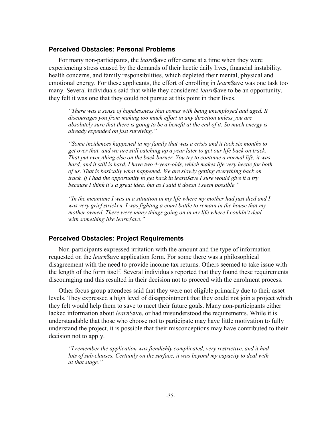#### **Perceived Obstacles: Personal Problems**

For many non-participants, the *learn*\$ave offer came at a time when they were experiencing stress caused by the demands of their hectic daily lives, financial instability, health concerns, and family responsibilities, which depleted their mental, physical and emotional energy. For these applicants, the effort of enrolling in *learn*\$ave was one task too many. Several individuals said that while they considered *learn*\$ave to be an opportunity, they felt it was one that they could not pursue at this point in their lives.

*"There was a sense of hopelessness that comes with being unemployed and aged. It discourages you from making too much effort in any direction unless you are absolutely sure that there is going to be a benefit at the end of it. So much energy is already expended on just surviving."* 

*"Some incidences happened in my family that was a crisis and it took six months to get over that, and we are still catching up a year later to get our life back on track. That put everything else on the back burner. You try to continue a normal life, it was hard, and it still is hard. I have two 4-year-olds, which makes life very hectic for both of us. That is basically what happened. We are slowly getting everything back on track. If I had the opportunity to get back in learn\$ave I sure would give it a try because I think it's a great idea, but as I said it doesn't seem possible."* 

*"In the meantime I was in a situation in my life where my mother had just died and I was very grief stricken. I was fighting a court battle to remain in the house that my mother owned. There were many things going on in my life where I couldn't deal with something like learn\$ave."*

#### **Perceived Obstacles: Project Requirements**

Non-participants expressed irritation with the amount and the type of information requested on the *learn*\$ave application form. For some there was a philosophical disagreement with the need to provide income tax returns. Others seemed to take issue with the length of the form itself. Several individuals reported that they found these requirements discouraging and this resulted in their decision not to proceed with the enrolment process.

Other focus group attendees said that they were not eligible primarily due to their asset levels. They expressed a high level of disappointment that they could not join a project which they felt would help them to save to meet their future goals. Many non-participants either lacked information about *learn*\$ave, or had misunderstood the requirements. While it is understandable that those who choose not to participate may have little motivation to fully understand the project, it is possible that their misconceptions may have contributed to their decision not to apply.

*"I remember the application was fiendishly complicated, very restrictive, and it had lots of sub-clauses. Certainly on the surface, it was beyond my capacity to deal with at that stage."*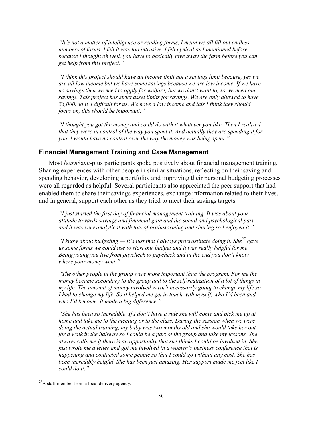*"It's not a matter of intelligence or reading forms, I mean we all fill out endless numbers of forms. I felt it was too intrusive. I felt cynical as I mentioned before because I thought oh well, you have to basically give away the farm before you can get help from this project."* 

*"I think this project should have an income limit not a savings limit because, yes we are all low income but we have some savings because we are low income. If we have no savings then we need to apply for welfare, but we don't want to, so we need our savings. This project has strict asset limits for savings. We are only allowed to have \$3,000, so it's difficult for us. We have a low income and this I think they should focus on, this should be important."* 

*"I thought you got the money and could do with it whatever you like. Then I realized that they were in control of the way you spent it. And actually they are spending it for you. I would have no control over the way the money was being spent."*

#### **Financial Management Training and Case Management**

Most *learn*\$ave-plus participants spoke positively about financial management training. Sharing experiences with other people in similar situations, reflecting on their saving and spending behavior, developing a portfolio, and improving their personal budgeting processes were all regarded as helpful. Several participants also appreciated the peer support that had enabled them to share their savings experiences, exchange information related to their lives, and in general, support each other as they tried to meet their savings targets.

*"I just started the first day of financial management training. It was about your attitude towards savings and financial gain and the social and psychological part and it was very analytical with lots of brainstorming and sharing so I enjoyed it."* 

"I know about budgeting  $-$  it's just that I always procrastinate doing it. She<sup>27</sup> gave us some forms we could use to start our budget and it was really helpful for me. *Being young you live from paycheck to paycheck and in the end you don't know where your money went."*

*"The other people in the group were more important than the program. For me the money became secondary to the group and to the self-realization of a lot of things in my life. The amount of money involved wasn't necessarily going to change my life so I had to change my life. So it helped me get in touch with myself, who I'd been and who I'd become. It made a big difference."*

*"She has been so incredible. If I don't have a ride she will come and pick me up at home and take me to the meeting or to the class. During the session when we were doing the actual training, my baby was two months old and she would take her out for a walk in the hallway so I could be a part of the group and take my lessons. She always calls me if there is an opportunity that she thinks I could be involved in. She just wrote me a letter and got me involved in a women's business conference that is happening and contacted some people so that I could go without any cost. She has been incredibly helpful. She has been just amazing. Her support made me feel like I could do it."* 

l

<sup>&</sup>lt;sup>27</sup>A staff member from a local delivery agency.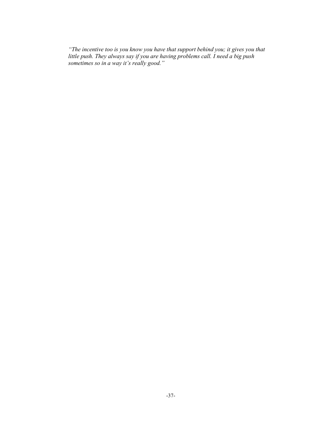*"The incentive too is you know you have that support behind you; it gives you that little push. They always say if you are having problems call. I need a big push sometimes so in a way it's really good."*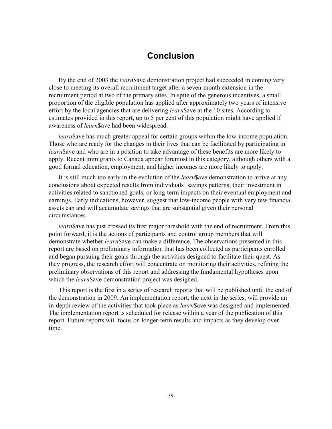# **Conclusion**

By the end of 2003 the *learn*\$ave demonstration project had succeeded in coming very close to meeting its overall recruitment target after a seven-month extension in the recruitment period at two of the primary sites. In spite of the generous incentives, a small proportion of the eligible population has applied after approximately two years of intensive effort by the local agencies that are delivering *learn*\$ave at the 10 sites. According to estimates provided in this report, up to 5 per cent of this population might have applied if awareness of *learn*\$ave had been widespread.

*learn*\$ave has much greater appeal for certain groups within the low-income population. Those who are ready for the changes in their lives that can be facilitated by participating in *learn*\$ave and who are in a position to take advantage of these benefits are more likely to apply. Recent immigrants to Canada appear foremost in this category, although others with a good formal education, employment, and higher incomes are more likely to apply.

It is still much too early in the evolution of the *learn*\$ave demonstration to arrive at any conclusions about expected results from individuals' savings patterns, their investment in activities related to sanctioned goals, or long-term impacts on their eventual employment and earnings. Early indications, however, suggest that low-income people with very few financial assets can and will accumulate savings that are substantial given their personal circumstances.

*learn*\$ave has just crossed its first major threshold with the end of recruitment. From this point forward, it is the actions of participants and control group members that will demonstrate whether *learn*\$ave can make a difference. The observations presented in this report are based on preliminary information that has been collected as participants enrolled and began pursuing their goals through the activities designed to facilitate their quest. As they progress, the research effort will concentrate on monitoring their activities, refining the preliminary observations of this report and addressing the fundamental hypotheses upon which the *learn* \$ ave demonstration project was designed.

This report is the first in a series of research reports that will be published until the end of the demonstration in 2009. An implementation report, the next in the series, will provide an in-depth review of the activities that took place as *learn*\$ave was designed and implemented. The implementation report is scheduled for release within a year of the publication of this report. Future reports will focus on longer-term results and impacts as they develop over time.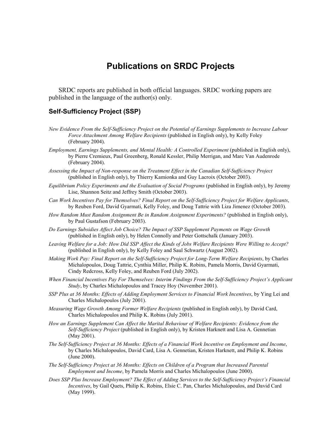# **Publications on SRDC Projects**

SRDC reports are published in both official languages. SRDC working papers are published in the language of the author(s) only.

#### **Self-Sufficiency Project (SSP)**

- *New Evidence From the Self-Sufficiency Project on the Potential of Earnings Supplements to Increase Labour Force Attachment Among Welfare Recipients* (published in English only), by Kelly Foley (February 2004).
- *Employment, Earnings Supplements, and Mental Health: A Controlled Experiment* (published in English only), by Pierre Cremieux, Paul Greenberg, Ronald Kessler, Philip Merrigan, and Marc Van Audenrode (February 2004).
- *Assessing the Impact of Non-response on the Treatment Effect in the Canadian Self-Sufficiency Project* (published in English only), by Thierry Kamionka and Guy Lacroix (October 2003).
- *Equilibrium Policy Experiments and the Evaluation of Social Programs* (published in English only), by Jeremy Lise, Shannon Seitz and Jeffrey Smith (October 2003).
- *Can Work Incentives Pay for Themselves? Final Report on the Self-Sufficiency Project for Welfare Applicants*, by Reuben Ford, David Gyarmati, Kelly Foley, and Doug Tattrie with Liza Jimenez (October 2003).
- *How Random Must Random Assignment Be in Random Assignment Experiments?* (published in English only), by Paul Gustafson (February 2003).
- *Do Earnings Subsidies Affect Job Choice? The Impact of SSP Supplement Payments on Wage Growth* (published in English only), by Helen Connolly and Peter Gottschalk (January 2003).
- *Leaving Welfare for a Job: How Did SSP Affect the Kinds of Jobs Welfare Recipients Were Willing to Accept?* (published in English only), by Kelly Foley and Saul Schwartz (August 2002).
- *Making Work Pay: Final Report on the Self-Sufficiency Project for Long-Term Welfare Recipients*, by Charles Michalopoulos, Doug Tattrie, Cynthia Miller, Philip K. Robins, Pamela Morris, David Gyarmati, Cindy Redcross, Kelly Foley, and Reuben Ford (July 2002).
- *When Financial Incentives Pay For Themselves: Interim Findings From the Self-Sufficiency Project's Applicant Study*, by Charles Michalopoulos and Tracey Hoy (November 2001).
- *SSP Plus at 36 Months: Effects of Adding Employment Services to Financial Work Incentives*, by Ying Lei and Charles Michalopoulos (July 2001).
- *Measuring Wage Growth Among Former Welfare Recipients* (published in English only), by David Card, Charles Michalopoulos and Philip K. Robins (July 2001).
- *How an Earnings Supplement Can Affect the Marital Behaviour of Welfare Recipients: Evidence from the Self-Sufficiency Project* (published in English only), by Kristen Harknett and Lisa A. Gennetian (May 2001).
- *The Self-Sufficiency Project at 36 Months: Effects of a Financial Work Incentive on Employment and Income*, by Charles Michalopoulos, David Card, Lisa A. Gennetian, Kristen Harknett, and Philip K. Robins (June 2000).
- *The Self-Sufficiency Project at 36 Months: Effects on Children of a Program that Increased Parental Employment and Income*, by Pamela Morris and Charles Michalopoulos (June 2000).
- *Does SSP Plus Increase Employment? The Effect of Adding Services to the Self-Sufficiency Project's Financial Incentives*, by Gail Quets, Philip K. Robins, Elsie C. Pan, Charles Michalopoulos, and David Card (May 1999).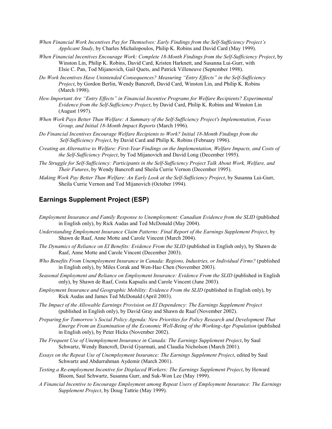- *When Financial Work Incentives Pay for Themselves: Early Findings from the Self-Sufficiency Project's Applicant Study*, by Charles Michalopoulos, Philip K. Robins and David Card (May 1999).
- *When Financial Incentives Encourage Work: Complete 18-Month Findings from the Self-Sufficiency Project*, by Winston Lin, Philip K. Robins, David Card, Kristen Harknett, and Susanna Lui-Gurr, with Elsie C. Pan, Tod Mijanovich, Gail Quets, and Patrick Villeneuve (September 1998).
- *Do Work Incentives Have Unintended Consequences? Measuring "Entry Effects" in the Self-Sufficiency Project*, by Gordon Berlin, Wendy Bancroft, David Card, Winston Lin, and Philip K. Robins (March 1998).
- *How Important Are "Entry Effects" in Financial Incentive Programs for Welfare Recipients? Experimental Evidence from the Self-Sufficiency Project*, by David Card, Philip K. Robins and Winston Lin (August 1997).
- *When Work Pays Better Than Welfare: A Summary of the Self-Sufficiency Project's Implementation, Focus Group, and Initial 18-Month Impact Reports* (March 1996).
- *Do Financial Incentives Encourage Welfare Recipients to Work? Initial 18-Month Findings from the Self-Sufficiency Project*, by David Card and Philip K. Robins (February 1996).
- *Creating an Alternative to Welfare: First-Year Findings on the Implementation, Welfare Impacts, and Costs of the Self-Sufficiency Project*, by Tod Mijanovich and David Long (December 1995).
- *The Struggle for Self-Sufficiency: Participants in the Self-Sufficiency Project Talk About Work, Welfare, and Their Futures*, by Wendy Bancroft and Sheila Currie Vernon (December 1995).
- *Making Work Pay Better Than Welfare: An Early Look at the Self-Sufficiency Project*, by Susanna Lui-Gurr, Sheila Currie Vernon and Tod Mijanovich (October 1994).

#### **Earnings Supplement Project (ESP)**

- *Employment Insurance and Family Response to Unemployment: Canadian Evidence from the SLID* (published in English only), by Rick Audas and Ted McDonald (May 2004).
- *Understanding Employment Insurance Claim Patterns: Final Report of the Earnings Supplement Project*, by Shawn de Raaf, Anne Motte and Carole Vincent (March 2004).
- *The Dynamics of Reliance on EI Benefits: Evidence From the SLID* (published in English only), by Shawn de Raaf, Anne Motte and Carole Vincent (December 2003).
- *Who Benefits From Unemployment Insurance in Canada: Regions, Industries, or Individual Firms?* (published in English only), by Miles Corak and Wen-Hao Chen (November 2003).
- *Seasonal Employment and Reliance on Employment Insurance: Evidence From the SLID* (published in English only), by Shawn de Raaf, Costa Kapsalis and Carole Vincent (June 2003).
- *Employment Insurance and Geographic Mobility: Evidence From the SLID* (published in English only), by Rick Audas and James Ted McDonald (April 2003).
- *The Impact of the Allowable Earnings Provision on EI Dependency: The Earnings Supplement Project* (published in English only), by David Gray and Shawn de Raaf (November 2002).
- *Preparing for Tomorrow's Social Policy Agenda: New Priorities for Policy Research and Development That Emerge From an Examination of the Economic Well-Being of the Working-Age Population* (published in English only), by Peter Hicks (November 2002).
- *The Frequent Use of Unemployment Insurance in Canada: The Earnings Supplement Project*, by Saul Schwartz, Wendy Bancroft, David Gyarmati, and Claudia Nicholson (March 2001).
- *Essays on the Repeat Use of Unemployment Insurance: The Earnings Supplement Project*, edited by Saul Schwartz and Abdurrahman Aydemir (March 2001).
- *Testing a Re-employment Incentive for Displaced Workers: The Earnings Supplement Project*, by Howard Bloom, Saul Schwartz, Susanna Gurr, and Suk-Won Lee (May 1999).
- *A Financial Incentive to Encourage Employment among Repeat Users of Employment Insurance: The Earnings Supplement Project*, by Doug Tattrie (May 1999).